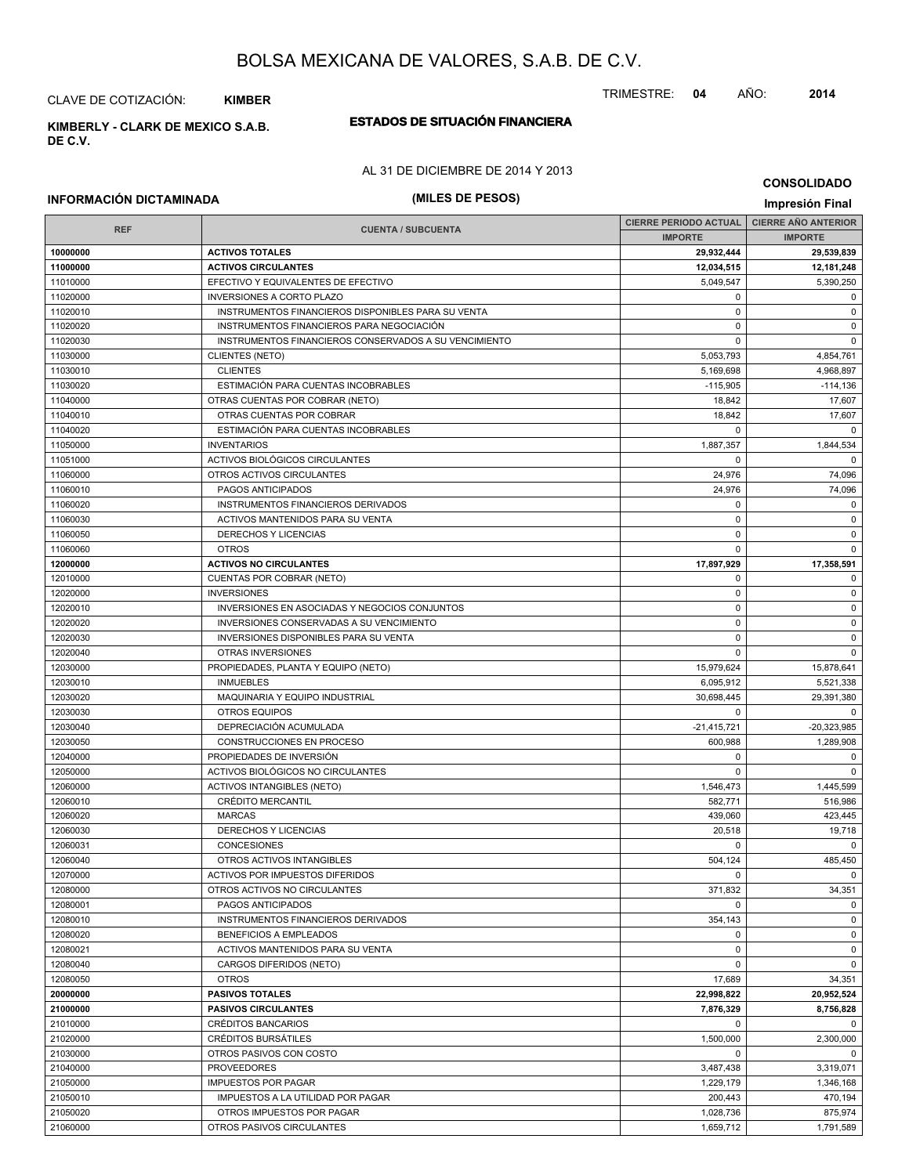CLAVE DE COTIZACIÓN: **KIMBER**

**DE C.V.**

## **ESTADOS DE SITUACIÓN FINANCIERA KIMBERLY - CLARK DE MEXICO S.A.B.**

#### AL 31 DE DICIEMBRE DE 2014 Y 2013

### **CONSOLIDADO**

## **INFORMACIÓN DICTAMINADA (MILES DE PESOS) Impresión Final**

|                      |                                                        |                          | <b>CIERRE AÑO ANTERIOR</b><br><b>CIERRE PERIODO ACTUAL</b> |  |
|----------------------|--------------------------------------------------------|--------------------------|------------------------------------------------------------|--|
| <b>REF</b>           | <b>CUENTA / SUBCUENTA</b>                              | <b>IMPORTE</b>           | <b>IMPORTE</b>                                             |  |
| 10000000             | <b>ACTIVOS TOTALES</b>                                 | 29,932,444               | 29,539,839                                                 |  |
| 11000000             | <b>ACTIVOS CIRCULANTES</b>                             | 12,034,515               | 12,181,248                                                 |  |
| 11010000             | EFECTIVO Y EQUIVALENTES DE EFECTIVO                    | 5,049,547                | 5,390,250                                                  |  |
| 11020000             | <b>INVERSIONES A CORTO PLAZO</b>                       | 0                        | 0                                                          |  |
| 11020010             | INSTRUMENTOS FINANCIEROS DISPONIBLES PARA SU VENTA     | $\mathbf 0$              | $\mathbf 0$                                                |  |
| 11020020             | INSTRUMENTOS FINANCIEROS PARA NEGOCIACIÓN              | $\mathbf 0$              | $\mathbf 0$                                                |  |
| 11020030             | INSTRUMENTOS FINANCIEROS CONSERVADOS A SU VENCIMIENTO  | 0                        | 0                                                          |  |
| 11030000             | CLIENTES (NETO)                                        | 5,053,793                | 4,854,761                                                  |  |
| 11030010             | <b>CLIENTES</b>                                        | 5,169,698                | 4,968,897                                                  |  |
| 11030020             | ESTIMACIÓN PARA CUENTAS INCOBRABLES                    | $-115,905$               | $-114,136$                                                 |  |
| 11040000             | OTRAS CUENTAS POR COBRAR (NETO)                        | 18,842                   | 17,607                                                     |  |
| 11040010             | OTRAS CUENTAS POR COBRAR                               | 18,842                   | 17,607                                                     |  |
| 11040020             | ESTIMACIÓN PARA CUENTAS INCOBRABLES                    | $\Omega$                 | $\mathbf 0$                                                |  |
| 11050000             | <b>INVENTARIOS</b>                                     | 1,887,357                | 1,844,534                                                  |  |
| 11051000             | ACTIVOS BIOLÓGICOS CIRCULANTES                         | $\mathbf 0$              | $\mathbf 0$                                                |  |
| 11060000             | OTROS ACTIVOS CIRCULANTES                              | 24,976                   | 74,096                                                     |  |
| 11060010             | PAGOS ANTICIPADOS                                      | 24,976                   | 74,096                                                     |  |
| 11060020             | INSTRUMENTOS FINANCIEROS DERIVADOS                     | $\mathbf 0$              | $\mathbf 0$                                                |  |
| 11060030             | ACTIVOS MANTENIDOS PARA SU VENTA                       | 0                        | 0                                                          |  |
| 11060050             | DERECHOS Y LICENCIAS                                   | 0                        | $\mathbf 0$                                                |  |
| 11060060             | <b>OTROS</b>                                           | $\mathbf 0$              | $\mathbf 0$                                                |  |
| 12000000             | <b>ACTIVOS NO CIRCULANTES</b>                          | 17,897,929               | 17,358,591                                                 |  |
| 12010000             | <b>CUENTAS POR COBRAR (NETO)</b>                       | 0                        | 0                                                          |  |
| 12020000             | <b>INVERSIONES</b>                                     | $\mathbf 0$              | $\mathsf 0$                                                |  |
| 12020010             | INVERSIONES EN ASOCIADAS Y NEGOCIOS CONJUNTOS          | 0                        | 0                                                          |  |
| 12020020             | INVERSIONES CONSERVADAS A SU VENCIMIENTO               | $\mathbf 0$              | $\mathbf 0$                                                |  |
| 12020030             | INVERSIONES DISPONIBLES PARA SU VENTA                  | $\mathbf 0$              | $\mathbf 0$                                                |  |
| 12020040             | OTRAS INVERSIONES                                      | 0                        | 0                                                          |  |
| 12030000             | PROPIEDADES, PLANTA Y EQUIPO (NETO)                    | 15,979,624               | 15,878,641                                                 |  |
| 12030010             | <b>INMUEBLES</b>                                       |                          |                                                            |  |
| 12030020             | MAQUINARIA Y EQUIPO INDUSTRIAL                         | 6,095,912<br>30,698,445  | 5,521,338<br>29,391,380                                    |  |
| 12030030             | <b>OTROS EQUIPOS</b>                                   | $\mathbf 0$              | $\mathbf 0$                                                |  |
|                      | DEPRECIACIÓN ACUMULADA                                 |                          |                                                            |  |
| 12030040<br>12030050 | CONSTRUCCIONES EN PROCESO                              | $-21,415,721$<br>600,988 | $-20,323,985$<br>1,289,908                                 |  |
|                      | PROPIEDADES DE INVERSIÓN                               |                          | $\mathbf 0$                                                |  |
| 12040000             |                                                        | 0<br>$\mathbf 0$         | $\mathbf 0$                                                |  |
| 12050000             | ACTIVOS BIOLÓGICOS NO CIRCULANTES                      |                          |                                                            |  |
| 12060000             | <b>ACTIVOS INTANGIBLES (NETO)</b><br>CRÉDITO MERCANTIL | 1,546,473<br>582,771     | 1,445,599                                                  |  |
| 12060010             |                                                        |                          | 516,986                                                    |  |
| 12060020             | <b>MARCAS</b>                                          | 439,060                  | 423,445                                                    |  |
| 12060030             | DERECHOS Y LICENCIAS                                   | 20,518<br>$\mathbf 0$    | 19,718<br>$\mathbf 0$                                      |  |
| 12060031             | <b>CONCESIONES</b>                                     |                          |                                                            |  |
| 12060040             | OTROS ACTIVOS INTANGIBLES                              | 504,124                  | 485,450                                                    |  |
| 12070000             | ACTIVOS POR IMPUESTOS DIFERIDOS                        | 0                        | $\overline{\mathbf{0}}$                                    |  |
| 12080000             | OTROS ACTIVOS NO CIRCULANTES                           | 371,832                  | 34,351                                                     |  |
| 12080001             | PAGOS ANTICIPADOS                                      | $\Omega$                 | $\mathbf 0$                                                |  |
| 12080010             | INSTRUMENTOS FINANCIEROS DERIVADOS                     | 354,143                  | $\mathbf 0$                                                |  |
| 12080020             | <b>BENEFICIOS A EMPLEADOS</b>                          | $\mathbf 0$              | $\mathbf 0$                                                |  |
| 12080021             | ACTIVOS MANTENIDOS PARA SU VENTA                       | 0                        | 0                                                          |  |
| 12080040             | CARGOS DIFERIDOS (NETO)                                | 0                        | 0                                                          |  |
| 12080050             | <b>OTROS</b>                                           | 17,689                   | 34,351                                                     |  |
| 20000000             | <b>PASIVOS TOTALES</b>                                 | 22,998,822               | 20,952,524                                                 |  |
| 21000000             | <b>PASIVOS CIRCULANTES</b>                             | 7,876,329                | 8,756,828                                                  |  |
| 21010000             | <b>CRÉDITOS BANCARIOS</b>                              | 0                        | $\mathbf 0$                                                |  |
| 21020000             | <b>CRÉDITOS BURSATILES</b>                             | 1,500,000                | 2,300,000                                                  |  |
| 21030000             | OTROS PASIVOS CON COSTO                                | 0                        | $\mathbf 0$                                                |  |
| 21040000             | <b>PROVEEDORES</b>                                     | 3,487,438                | 3,319,071                                                  |  |
| 21050000             | <b>IMPUESTOS POR PAGAR</b>                             | 1,229,179                | 1,346,168                                                  |  |
| 21050010             | IMPUESTOS A LA UTILIDAD POR PAGAR                      | 200,443                  | 470,194                                                    |  |
| 21050020             | OTROS IMPUESTOS POR PAGAR                              | 1,028,736                | 875,974                                                    |  |
| 21060000             | OTROS PASIVOS CIRCULANTES                              | 1,659,712                | 1,791,589                                                  |  |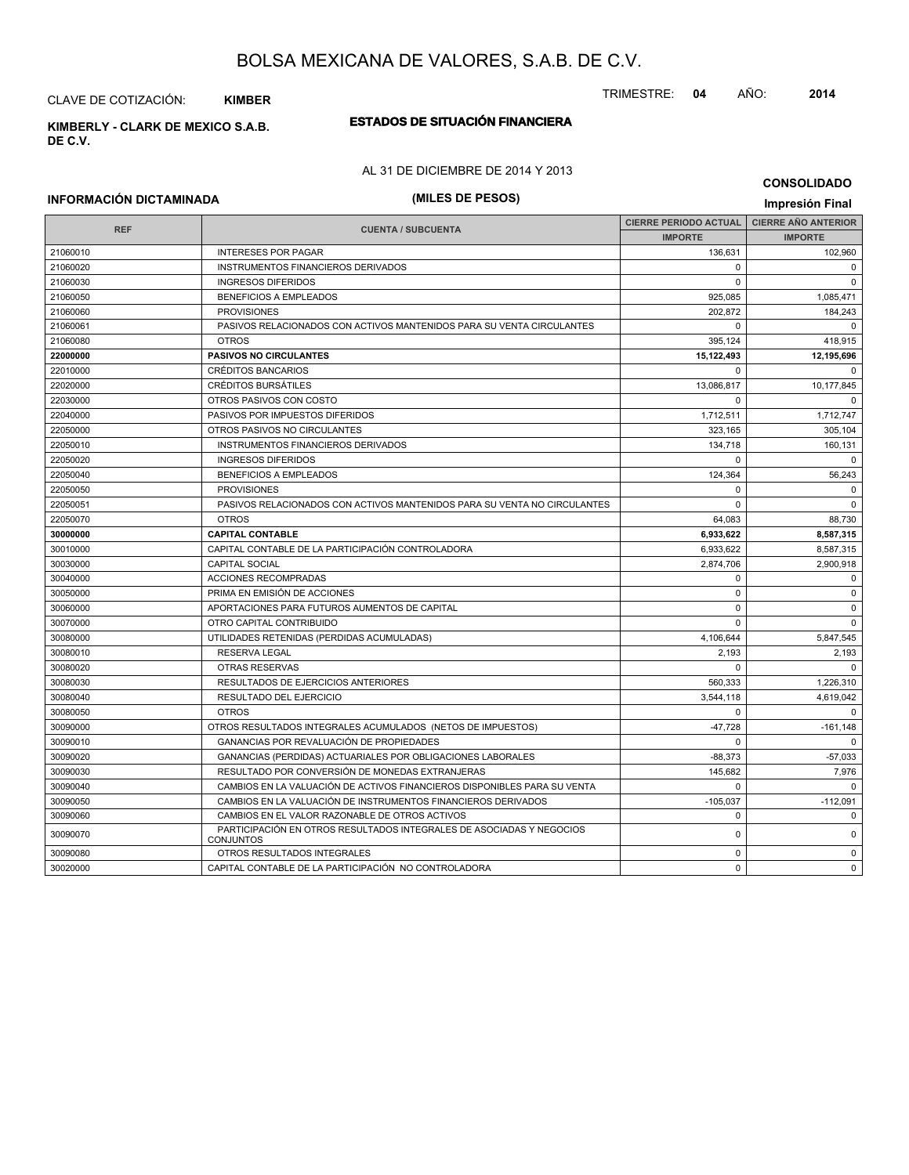CLAVE DE COTIZACIÓN: **KIMBER**

**ESTADOS DE SITUACIÓN FINANCIERA KIMBERLY - CLARK DE MEXICO S.A.B. DE C.V.**

### AL 31 DE DICIEMBRE DE 2014 Y 2013

### **CONSOLIDADO**

## **INFORMACIÓN DICTAMINADA (MILES DE PESOS) Impresión Final**

| <b>REF</b> | <b>CUENTA / SUBCUENTA</b>                                                                | <b>CIERRE PERIODO ACTUAL</b> | <b>CIERRE AÑO ANTERIOR</b> |
|------------|------------------------------------------------------------------------------------------|------------------------------|----------------------------|
|            |                                                                                          | <b>IMPORTE</b>               | <b>IMPORTE</b>             |
| 21060010   | <b>INTERESES POR PAGAR</b>                                                               | 136,631                      | 102,960                    |
| 21060020   | INSTRUMENTOS FINANCIEROS DERIVADOS                                                       | 0                            | $\mathbf 0$                |
| 21060030   | <b>INGRESOS DIFERIDOS</b>                                                                | 0                            | $\mathbf 0$                |
| 21060050   | <b>BENEFICIOS A EMPLEADOS</b>                                                            | 925,085                      | 1,085,471                  |
| 21060060   | <b>PROVISIONES</b>                                                                       | 202,872                      | 184,243                    |
| 21060061   | PASIVOS RELACIONADOS CON ACTIVOS MANTENIDOS PARA SU VENTA CIRCULANTES                    | 0                            | $\mathbf 0$                |
| 21060080   | <b>OTROS</b>                                                                             | 395,124                      | 418,915                    |
| 22000000   | <b>PASIVOS NO CIRCULANTES</b>                                                            | 15,122,493                   | 12,195,696                 |
| 22010000   | <b>CRÉDITOS BANCARIOS</b>                                                                | 0                            | $\mathbf 0$                |
| 22020000   | <b>CRÉDITOS BURSÁTILES</b>                                                               | 13,086,817                   | 10,177,845                 |
| 22030000   | OTROS PASIVOS CON COSTO                                                                  | $\mathbf 0$                  | $\Omega$                   |
| 22040000   | PASIVOS POR IMPUESTOS DIFERIDOS                                                          | 1,712,511                    | 1,712,747                  |
| 22050000   | OTROS PASIVOS NO CIRCULANTES                                                             | 323,165                      | 305,104                    |
| 22050010   | INSTRUMENTOS FINANCIEROS DERIVADOS                                                       | 134,718                      | 160,131                    |
| 22050020   | <b>INGRESOS DIFERIDOS</b>                                                                | 0                            | $\mathbf 0$                |
| 22050040   | <b>BENEFICIOS A EMPLEADOS</b>                                                            | 124,364                      | 56,243                     |
| 22050050   | <b>PROVISIONES</b>                                                                       | $\mathbf 0$                  | $\Omega$                   |
| 22050051   | PASIVOS RELACIONADOS CON ACTIVOS MANTENIDOS PARA SU VENTA NO CIRCULANTES                 | 0                            | $\mathbf 0$                |
| 22050070   | <b>OTROS</b>                                                                             | 64,083                       | 88,730                     |
| 30000000   | <b>CAPITAL CONTABLE</b>                                                                  | 6,933,622                    | 8,587,315                  |
| 30010000   | CAPITAL CONTABLE DE LA PARTICIPACIÓN CONTROLADORA                                        | 6,933,622                    | 8,587,315                  |
| 30030000   | <b>CAPITAL SOCIAL</b>                                                                    | 2,874,706                    | 2,900,918                  |
| 30040000   | ACCIONES RECOMPRADAS                                                                     | $\mathbf 0$                  | $\mathbf 0$                |
| 30050000   | PRIMA EN EMISIÓN DE ACCIONES                                                             | $\mathbf 0$                  | $\mathbf 0$                |
| 30060000   | APORTACIONES PARA FUTUROS AUMENTOS DE CAPITAL                                            | $\mathbf 0$                  | $\mathbf 0$                |
| 30070000   | OTRO CAPITAL CONTRIBUIDO                                                                 | $\Omega$                     | $\Omega$                   |
| 30080000   | UTILIDADES RETENIDAS (PERDIDAS ACUMULADAS)                                               | 4,106,644                    | 5,847,545                  |
| 30080010   | <b>RESERVA LEGAL</b>                                                                     | 2,193                        | 2,193                      |
| 30080020   | <b>OTRAS RESERVAS</b>                                                                    | $\Omega$                     | $\Omega$                   |
| 30080030   | RESULTADOS DE EJERCICIOS ANTERIORES                                                      | 560,333                      | 1,226,310                  |
| 30080040   | <b>RESULTADO DEL EJERCICIO</b>                                                           | 3,544,118                    | 4,619,042                  |
| 30080050   | <b>OTROS</b>                                                                             | $\Omega$                     | $\Omega$                   |
| 30090000   | OTROS RESULTADOS INTEGRALES ACUMULADOS (NETOS DE IMPUESTOS)                              | $-47,728$                    | $-161,148$                 |
| 30090010   | GANANCIAS POR REVALUACIÓN DE PROPIEDADES                                                 | $\Omega$                     | $\Omega$                   |
| 30090020   | GANANCIAS (PERDIDAS) ACTUARIALES POR OBLIGACIONES LABORALES                              | $-88,373$                    | $-57,033$                  |
| 30090030   | RESULTADO POR CONVERSIÓN DE MONEDAS EXTRANJERAS                                          | 145,682                      | 7,976                      |
| 30090040   | CAMBIOS EN LA VALUACIÓN DE ACTIVOS FINANCIEROS DISPONIBLES PARA SU VENTA                 | $\Omega$                     | $\Omega$                   |
| 30090050   | CAMBIOS EN LA VALUACIÓN DE INSTRUMENTOS FINANCIEROS DERIVADOS                            | $-105,037$                   | $-112,091$                 |
| 30090060   | CAMBIOS EN EL VALOR RAZONABLE DE OTROS ACTIVOS                                           | $\Omega$                     | $\Omega$                   |
| 30090070   | PARTICIPACIÓN EN OTROS RESULTADOS INTEGRALES DE ASOCIADAS Y NEGOCIOS<br><b>CONJUNTOS</b> | $\Omega$                     | $\Omega$                   |
| 30090080   | OTROS RESULTADOS INTEGRALES                                                              | $\Omega$                     | $\Omega$                   |
| 30020000   | CAPITAL CONTABLE DE LA PARTICIPACIÓN NO CONTROLADORA                                     | $\Omega$                     | $\Omega$                   |

#### TRIMESTRE: **04** AÑO: **2014**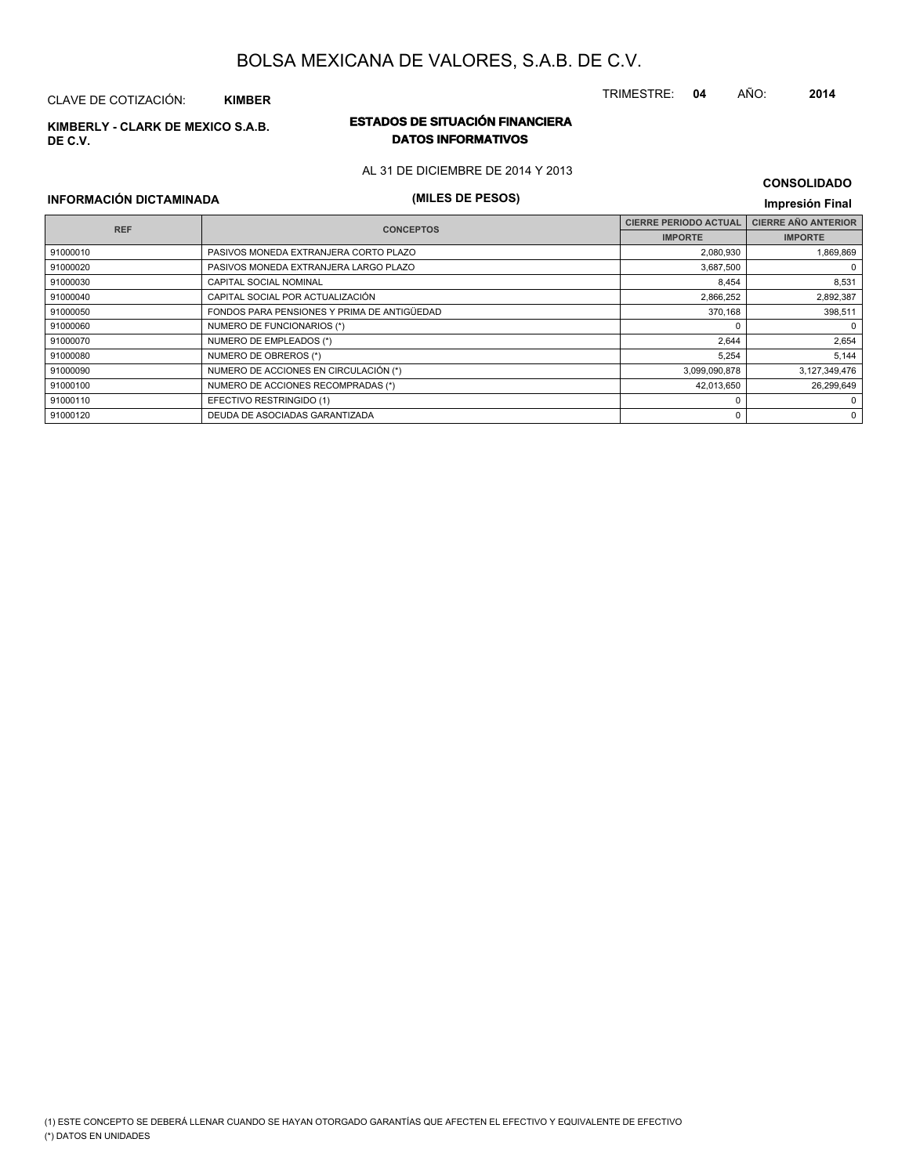(1) ESTE CONCEPTO SE DEBERÁ LLENAR CUANDO SE HAYAN OTORGADO GARANTÍAS QUE AFECTEN EL EFECTIVO Y EQUIVALENTE DE EFECTIVO

## BOLSA MEXICANA DE VALORES, S.A.B. DE C.V.

## CLAVE DE COTIZACIÓN: **KIMBER**

**DE C.V.**

## **ESTADOS DE SITUACIÓN FINANCIERA KIMBERLY - CLARK DE MEXICO S.A.B. DATOS INFORMATIVOS**

AL 31 DE DICIEMBRE DE 2014 Y 2013

## **INFORMACIÓN DICTAMINADA (MILES DE PESOS) Impresión Final**

(\*) DATOS EN UNIDADES

|            |                                             | <b>CIERRE PERIODO ACTUAL</b> | <b>CIERRE AÑO ANTERIOR</b> |  |
|------------|---------------------------------------------|------------------------------|----------------------------|--|
| <b>REF</b> | <b>CONCEPTOS</b>                            | <b>IMPORTE</b>               | <b>IMPORTE</b>             |  |
| 91000010   | PASIVOS MONEDA EXTRANJERA CORTO PLAZO       | 2,080,930                    | 1,869,869                  |  |
| 91000020   | PASIVOS MONEDA EXTRANJERA LARGO PLAZO       | 3,687,500                    | 0                          |  |
| 91000030   | CAPITAL SOCIAL NOMINAL                      | 8,454                        | 8,531                      |  |
| 91000040   | CAPITAL SOCIAL POR ACTUALIZACIÓN            | 2,866,252                    | 2,892,387                  |  |
| 91000050   | FONDOS PARA PENSIONES Y PRIMA DE ANTIGÜEDAD | 370,168                      | 398,511                    |  |
| 91000060   | NUMERO DE FUNCIONARIOS (*)                  |                              | $\mathbf 0$                |  |
| 91000070   | NUMERO DE EMPLEADOS (*)                     | 2,644                        | 2,654                      |  |
| 91000080   | NUMERO DE OBREROS (*)                       | 5,254                        | 5,144                      |  |
| 91000090   | NUMERO DE ACCIONES EN CIRCULACIÓN (*)       | 3,099,090,878                | 3,127,349,476              |  |
| 91000100   | NUMERO DE ACCIONES RECOMPRADAS (*)          | 42,013,650                   | 26,299,649                 |  |
| 91000110   | EFECTIVO RESTRINGIDO (1)                    |                              | 0                          |  |
| 91000120   | DEUDA DE ASOCIADAS GARANTIZADA              |                              | 0                          |  |

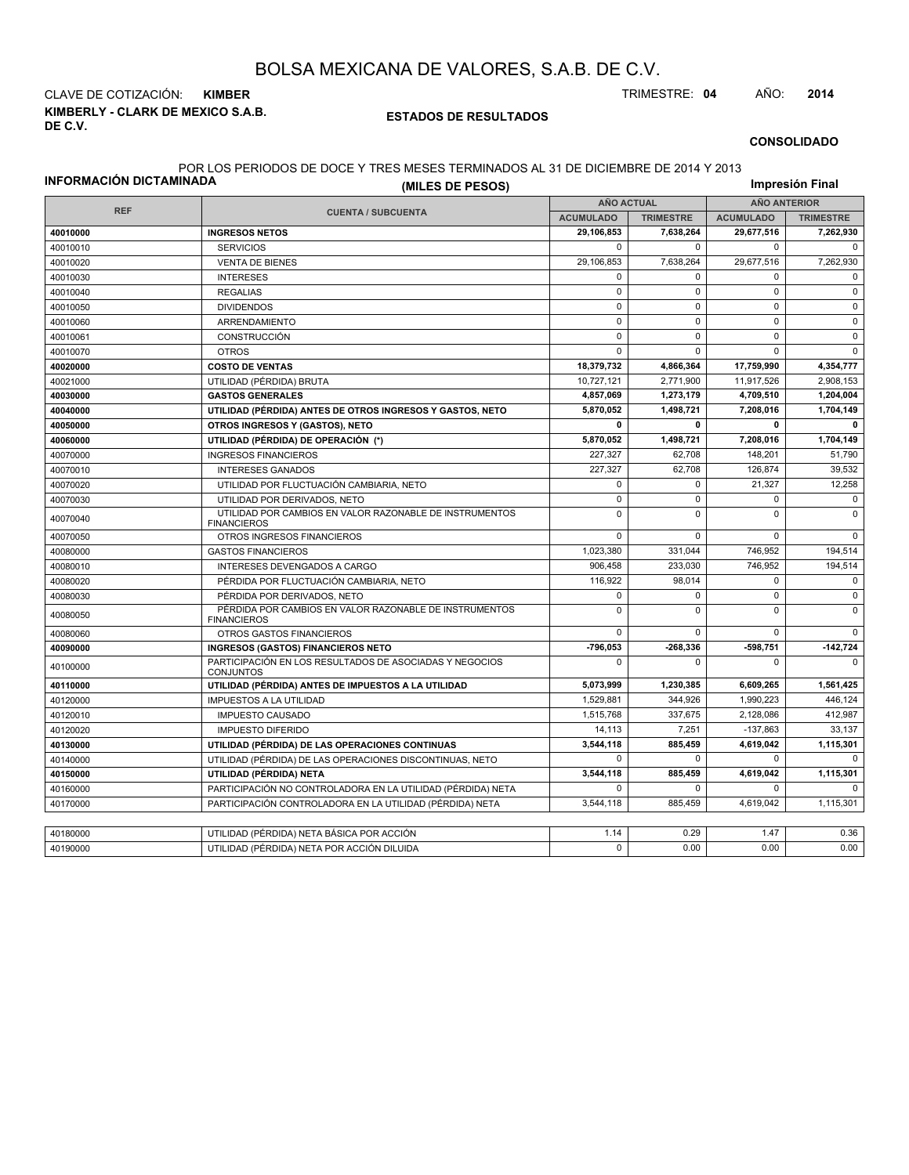**KIMBERLY - CLARK DE MEXICO S.A.B. DE C.V.** CLAVE DE COTIZACIÓN: **KIMBER** TRIMESTRE: **04** AÑO: **2014**

#### **ESTADOS DE RESULTADOS**

**CONSOLIDADO**

#### POR LOS PERIODOS DE DOCE Y TRES MESES TERMINADOS AL 31 DE DICIEMBRE DE 2014 Y 2013

| INFORMACIÓN DICTAMINADA | (MILES DE PESOS)                                                              |                  |                                          |                  | Impresión Final  |
|-------------------------|-------------------------------------------------------------------------------|------------------|------------------------------------------|------------------|------------------|
|                         |                                                                               |                  | <b>AÑO ACTUAL</b><br><b>AÑO ANTERIOR</b> |                  |                  |
| <b>REF</b>              | <b>CUENTA / SUBCUENTA</b>                                                     | <b>ACUMULADO</b> | <b>TRIMESTRE</b>                         | <b>ACUMULADO</b> | <b>TRIMESTRE</b> |
| 40010000                | <b>INGRESOS NETOS</b>                                                         | 29,106,853       | 7,638,264                                | 29,677,516       | 7,262,930        |
| 40010010                | <b>SERVICIOS</b>                                                              | $\mathbf 0$      | $\mathbf 0$                              | $\mathbf 0$      | $\mathbf 0$      |
| 40010020                | <b>VENTA DE BIENES</b>                                                        | 29,106,853       | 7,638,264                                | 29,677,516       | 7,262,930        |
| 40010030                | <b>INTERESES</b>                                                              | 0                | $\mathbf 0$                              | 0                | $\mathbf 0$      |
| 40010040                | <b>REGALIAS</b>                                                               | $\mathbf 0$      | $\mathbf 0$                              | $\mathbf 0$      | $\mathbf 0$      |
| 40010050                | <b>DIVIDENDOS</b>                                                             | $\mathsf 0$      | $\mathbf 0$                              | $\mathbf 0$      | $\mathbf 0$      |
| 40010060                | ARRENDAMIENTO                                                                 | $\pmb{0}$        | $\mathbf 0$                              | $\mathbf 0$      | $\mathbf 0$      |
| 40010061                | <b>CONSTRUCCIÓN</b>                                                           | $\mathsf 0$      | $\Omega$                                 | $\mathbf 0$      | $\mathbf 0$      |
| 40010070                | <b>OTROS</b>                                                                  | $\mathbf 0$      | $\mathbf 0$                              | $\mathbf 0$      | $\mathbf 0$      |
| 40020000                | <b>COSTO DE VENTAS</b>                                                        | 18,379,732       | 4,866,364                                | 17,759,990       | 4,354,777        |
| 40021000                | UTILIDAD (PÉRDIDA) BRUTA                                                      | 10,727,121       | 2,771,900                                | 11,917,526       | 2,908,153        |
| 40030000                | <b>GASTOS GENERALES</b>                                                       | 4,857,069        | 1,273,179                                | 4,709,510        | 1,204,004        |
| 40040000                | UTILIDAD (PÉRDIDA) ANTES DE OTROS INGRESOS Y GASTOS, NETO                     | 5.870.052        | 1,498,721                                | 7,208,016        | 1,704,149        |
| 40050000                | OTROS INGRESOS Y (GASTOS), NETO                                               | $\mathbf 0$      | $\mathbf 0$                              | $\mathbf{0}$     | 0                |
| 40060000                | UTILIDAD (PÉRDIDA) DE OPERACIÓN (*)                                           | 5,870,052        | 1,498,721                                | 7,208,016        | 1,704,149        |
| 40070000                | <b>INGRESOS FINANCIEROS</b>                                                   | 227,327          | 62,708                                   | 148,201          | 51,790           |
| 40070010                | <b>INTERESES GANADOS</b>                                                      | 227,327          | 62.708                                   | 126.874          | 39.532           |
| 40070020                | UTILIDAD POR FLUCTUACIÓN CAMBIARIA, NETO                                      | $\mathbf 0$      | $\mathbf 0$                              | 21,327           | 12,258           |
| 40070030                | UTILIDAD POR DERIVADOS, NETO                                                  | $\mathsf 0$      | $\mathbf 0$                              | $\mathbf 0$      | $\mathbf 0$      |
| 40070040                | UTILIDAD POR CAMBIOS EN VALOR RAZONABLE DE INSTRUMENTOS<br><b>FINANCIEROS</b> | $\mathbf 0$      | $\Omega$                                 | $\Omega$         | $\mathbf 0$      |
| 40070050                | OTROS INGRESOS FINANCIEROS                                                    | $\mathbf 0$      | $\mathbf 0$                              | $\mathbf 0$      | $\mathbf 0$      |
| 40080000                | <b>GASTOS FINANCIEROS</b>                                                     | 1,023,380        | 331,044                                  | 746,952          | 194,514          |
| 40080010                | INTERESES DEVENGADOS A CARGO                                                  | 906,458          | 233,030                                  | 746,952          | 194,514          |
| 40080020                | PÉRDIDA POR FLUCTUACIÓN CAMBIARIA, NETO                                       | 116,922          | 98,014                                   | 0                | $\pmb{0}$        |
| 40080030                | PÉRDIDA POR DERIVADOS. NETO                                                   | $\mathbf 0$      | $\Omega$                                 | $\Omega$         | $\mathbf 0$      |
| 40080050                | PÉRDIDA POR CAMBIOS EN VALOR RAZONABLE DE INSTRUMENTOS<br><b>FINANCIEROS</b>  | $\mathbf 0$      | $\mathbf 0$                              | $\mathbf 0$      | $\mathbf 0$      |
| 40080060                | OTROS GASTOS FINANCIEROS                                                      | $\mathbf 0$      | $\mathbf 0$                              | $\mathbf 0$      | $\mathbf 0$      |
| 40090000                | <b>INGRESOS (GASTOS) FINANCIEROS NETO</b>                                     | -796.053         | $-268,336$                               | $-598,751$       | $-142,724$       |
| 40100000                | PARTICIPACIÓN EN LOS RESULTADOS DE ASOCIADAS Y NEGOCIOS<br><b>CONJUNTOS</b>   | $\mathbf 0$      | $\Omega$                                 | $\mathbf 0$      | 0                |
| 40110000                | UTILIDAD (PÉRDIDA) ANTES DE IMPUESTOS A LA UTILIDAD                           | 5,073,999        | 1,230,385                                | 6,609,265        | 1,561,425        |
| 40120000                | <b>IMPUESTOS A LA UTILIDAD</b>                                                | 1,529,881        | 344,926                                  | 1,990,223        | 446,124          |
| 40120010                | <b>IMPUESTO CAUSADO</b>                                                       | 1,515,768        | 337,675                                  | 2,128,086        | 412,987          |
| 40120020                | <b>IMPUESTO DIFERIDO</b>                                                      | 14,113           | 7,251                                    | $-137,863$       | 33,137           |
| 40130000                | UTILIDAD (PÉRDIDA) DE LAS OPERACIONES CONTINUAS                               | 3,544,118        | 885,459                                  | 4,619,042        | 1,115,301        |
| 40140000                | UTILIDAD (PÉRDIDA) DE LAS OPERACIONES DISCONTINUAS, NETO                      | $\mathbf 0$      | $\Omega$                                 | $\mathbf 0$      | 0                |
| 40150000                | UTILIDAD (PÉRDIDA) NETA                                                       | 3.544.118        | 885.459                                  | 4.619.042        | 1,115,301        |
| 40160000                | PARTICIPACIÓN NO CONTROLADORA EN LA UTILIDAD (PÉRDIDA) NETA                   | $\mathbf 0$      | $\mathbf 0$                              | $\mathbf 0$      | $\Omega$         |
| 40170000                | PARTICIPACIÓN CONTROLADORA EN LA UTILIDAD (PÉRDIDA) NETA                      | 3,544,118        | 885,459                                  | 4,619,042        | 1,115,301        |
|                         |                                                                               |                  |                                          |                  |                  |
| 40180000                | UTILIDAD (PÉRDIDA) NETA BÁSICA POR ACCIÓN                                     | 1.14             | 0.29                                     | 1.47             | 0.36             |
| 40190000                | UTILIDAD (PÉRDIDA) NETA POR ACCIÓN DILUIDA                                    | $\Omega$         | 0.00                                     | 0.00             | 0.00             |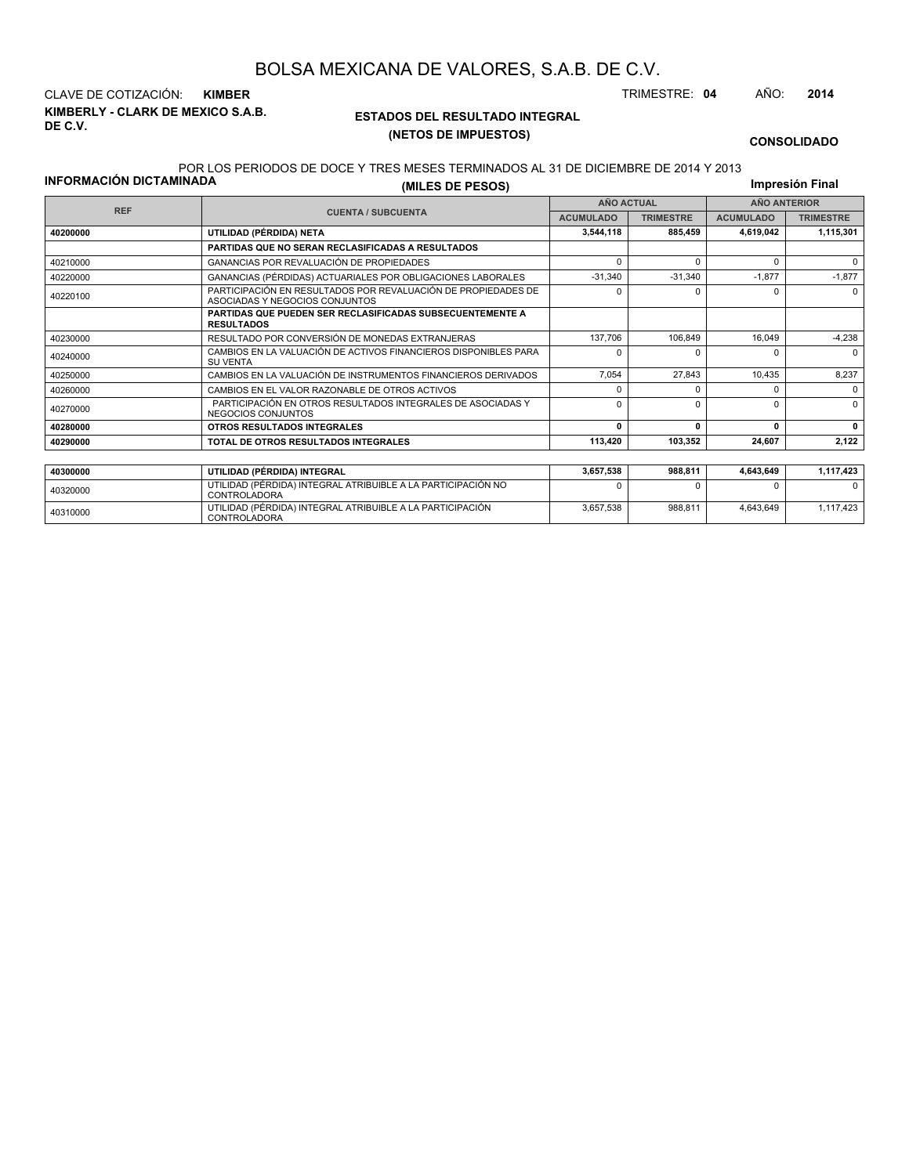**KIMBERLY - CLARK DE MEXICO S.A.B. DE C.V.** CLAVE DE COTIZACIÓN: **KIMBER** TRIMESTRE: **04** AÑO: **2014**

NEGOCIOS CONJUNTOS

### **ESTADOS DEL RESULTADO INTEGRAL (NETOS DE IMPUESTOS)**

**CONSOLIDADO**

#### POR LOS PERIODOS DE DOCE Y TRES MESES TERMINADOS AL 31 DE DICIEMBRE DE 2014 Y 2013

|                                | EUN LUJ FENIUDUJ DE DUUE T TNEJ MEJEJ TENMINADUJ AL JT DE DIUIEMBNE DE ZVT¥ T ZVTJ              |                   |                  |                     |                  |  |
|--------------------------------|-------------------------------------------------------------------------------------------------|-------------------|------------------|---------------------|------------------|--|
| <b>INFORMACIÓN DICTAMINADA</b> | (MILES DE PESOS)                                                                                |                   |                  |                     | Impresión Final  |  |
|                                |                                                                                                 | <b>AÑO ACTUAL</b> |                  | <b>AÑO ANTERIOR</b> |                  |  |
| <b>REF</b>                     | <b>CUENTA / SUBCUENTA</b>                                                                       | <b>ACUMULADO</b>  | <b>TRIMESTRE</b> | <b>ACUMULADO</b>    | <b>TRIMESTRE</b> |  |
| 40200000                       | UTILIDAD (PÉRDIDA) NETA                                                                         | 3,544,118         | 885,459          | 4,619,042           | 1,115,301        |  |
|                                | PARTIDAS QUE NO SERAN RECLASIFICADAS A RESULTADOS                                               |                   |                  |                     |                  |  |
| 40210000                       | GANANCIAS POR REVALUACIÓN DE PROPIEDADES                                                        |                   | ŋ                |                     |                  |  |
| 40220000                       | GANANCIAS (PÉRDIDAS) ACTUARIALES POR OBLIGACIONES LABORALES                                     | $-31,340$         | $-31,340$        | $-1,877$            | $-1,877$         |  |
| 40220100                       | PARTICIPACIÓN EN RESULTADOS POR REVALUACIÓN DE PROPIEDADES DE<br>ASOCIADAS Y NEGOCIOS CONJUNTOS |                   |                  |                     |                  |  |
|                                | <b>PARTIDAS QUE PUEDEN SER RECLASIFICADAS SUBSECUENTEMENTE A</b><br><b>RESULTADOS</b>           |                   |                  |                     |                  |  |
| 40230000                       | RESULTADO POR CONVERSIÓN DE MONEDAS EXTRANJERAS                                                 | 137.706           | 106.849          | 16,049              | $-4,238$         |  |
| 40240000                       | CAMBIOS EN LA VALUACIÓN DE ACTIVOS FINANCIEROS DISPONIBLES PARA<br><b>SU VENTA</b>              |                   |                  |                     |                  |  |
| 40250000                       | CAMBIOS EN LA VALUACIÓN DE INSTRUMENTOS FINANCIEROS DERIVADOS                                   | 7.054             | 27.843           | 10,435              | 8,237            |  |
| 40260000                       | CAMBIOS EN EL VALOR RAZONABLE DE OTROS ACTIVOS                                                  |                   |                  |                     |                  |  |
| 40270000                       | PARTICIPACIÓN EN OTROS RESULTADOS INTEGRALES DE ASOCIADAS Y                                     |                   |                  |                     |                  |  |

| 40300000 | UTILIDAD (PÉRDIDA) INTEGRAL                                                  | 3.657.538 | 988.811 | 4.643.649 | 1,117,423 |
|----------|------------------------------------------------------------------------------|-----------|---------|-----------|-----------|
| 40320000 | UTILIDAD (PÉRDIDA) INTEGRAL ATRIBUIBLE A LA PARTICIPACIÓN NO<br>CONTROLADORA |           |         |           |           |
| 40310000 | UTILIDAD (PÉRDIDA) INTEGRAL ATRIBUIBLE A LA PARTICIPACIÓN<br>CONTROLADORA    | 3.657.538 | 988.811 | 4.643.649 | 1.117.423 |
|          |                                                                              |           |         |           |           |

**40280000 OTROS RESULTADOS INTEGRALES 0 0 0 0 40290000 TOTAL DE OTROS RESULTADOS INTEGRALES 113,420 103,352 24,607 2,122**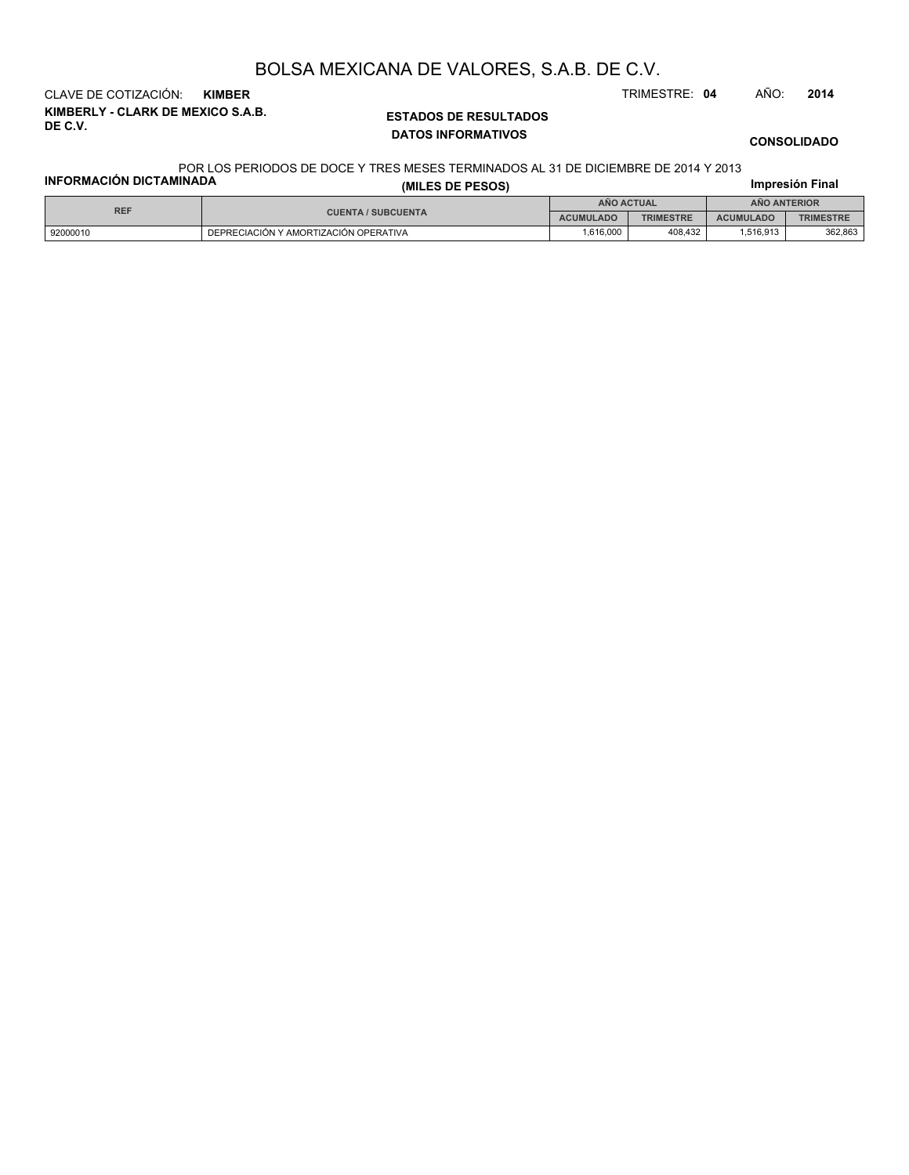**KIMBERLY - CLARK DE MEXICO S.A.B. DE C.V.** CLAVE DE COTIZACIÓN: **KIMBER** TRIMESTRE: **04** AÑO: **2014**

### **ESTADOS DE RESULTADOS DATOS INFORMATIVOS**

**CONSOLIDADO**

#### POR LOS PERIODOS DE DOCE Y TRES MESES TERMINADOS AL 31 DE DICIEMBRE DE 2014 Y 2013

| <b>INFORMACIÓN DICTAMINADA</b> | <u>UN LUU I LINUDUU DE DUUE T TINEU MEULU TENMINADUU AE UT DE DIUILMDNE DE ZUTT T ZUTU</u> | Impresión Final   |                  |                     |                  |  |
|--------------------------------|--------------------------------------------------------------------------------------------|-------------------|------------------|---------------------|------------------|--|
| <b>REF</b>                     |                                                                                            | <b>ANO ACTUAL</b> |                  | <b>ANO ANTERIOR</b> |                  |  |
|                                | <b>CUENTA / SUBCUENTA</b>                                                                  | <b>ACUMULADO</b>  | <b>TRIMESTRE</b> | <b>ACUMULADO</b>    | <b>TRIMESTRE</b> |  |
| 92000010                       | DEPRECIACIÓN Y AMORTIZACIÓN OPERATIVA                                                      | 1.616.000         | 408.432          | 1.516.913           | 362,863          |  |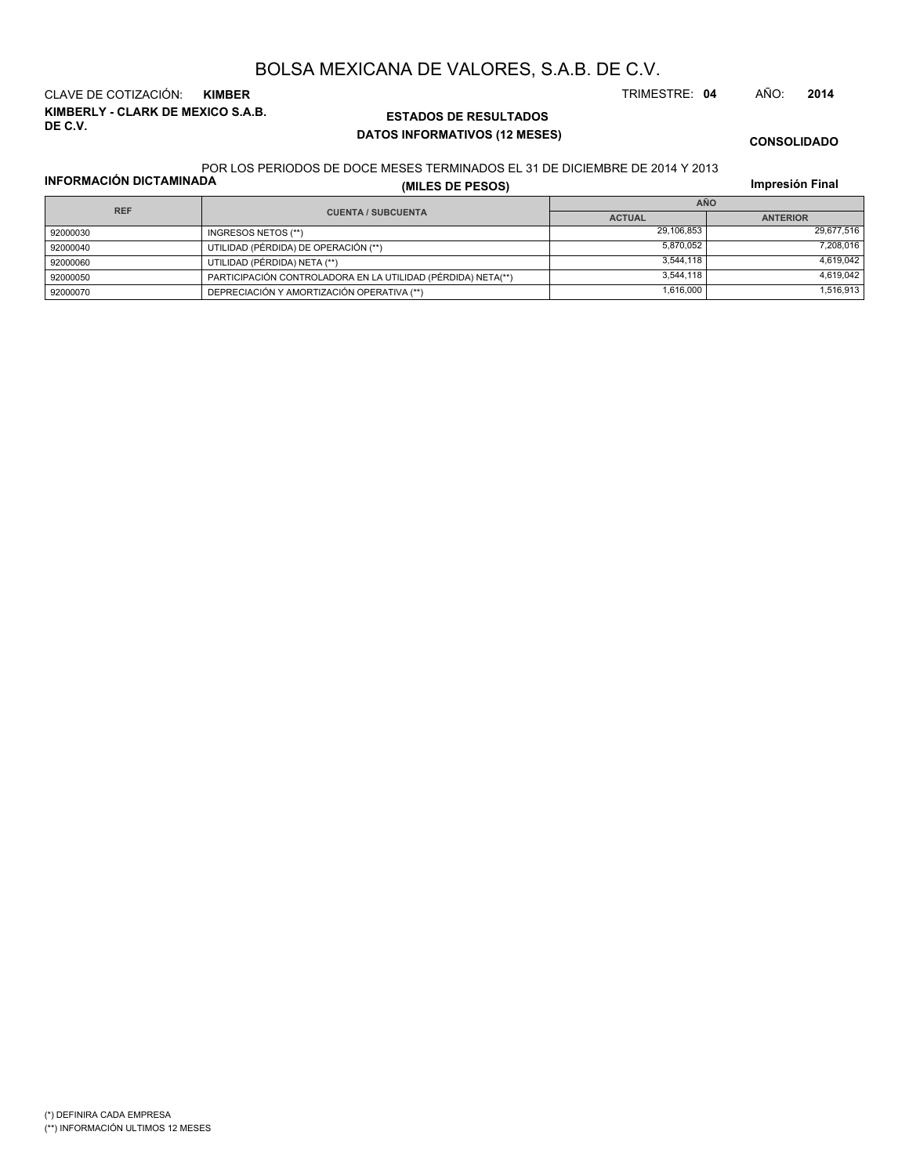**KIMBERLY - CLARK DE MEXICO S.A.B. DE C.V.** CLAVE DE COTIZACIÓN: **KIMBER** TRIMESTRE: **04** AÑO: **2014**

## **ESTADOS DE RESULTADOS DATOS INFORMATIVOS (12 MESES)**

**CONSOLIDADO**

#### POR LOS PERIODOS DE DOCE MESES TERMINADOS EL 31 DE DICIEMBRE DE 2014 Y 2013

**INFORMACIÓN DICTAMINADA**

**(MILES DE PESOS)**

**Impresión Final**

| <b>REF</b> |                                                              | <b>AÑO</b>    |                 |  |  |
|------------|--------------------------------------------------------------|---------------|-----------------|--|--|
|            | <b>CUENTA / SUBCUENTA</b>                                    | <b>ACTUAL</b> | <b>ANTERIOR</b> |  |  |
| 92000030   | INGRESOS NETOS (**)                                          | 29,106,853    | 29.677.516      |  |  |
| 92000040   | UTILIDAD (PÉRDIDA) DE OPERACIÓN (**)                         | 5.870.052     | 7.208.016       |  |  |
| 92000060   | UTILIDAD (PÉRDIDA) NETA (**)                                 | 3.544.118     | 4.619.042       |  |  |
| 92000050   | PARTICIPACIÓN CONTROLADORA EN LA UTILIDAD (PÉRDIDA) NETA(**) | 3.544.118     | 4.619.042       |  |  |
| 92000070   | DEPRECIACIÓN Y AMORTIZACIÓN OPERATIVA (**)                   | 1,616,000     | 1,516,913       |  |  |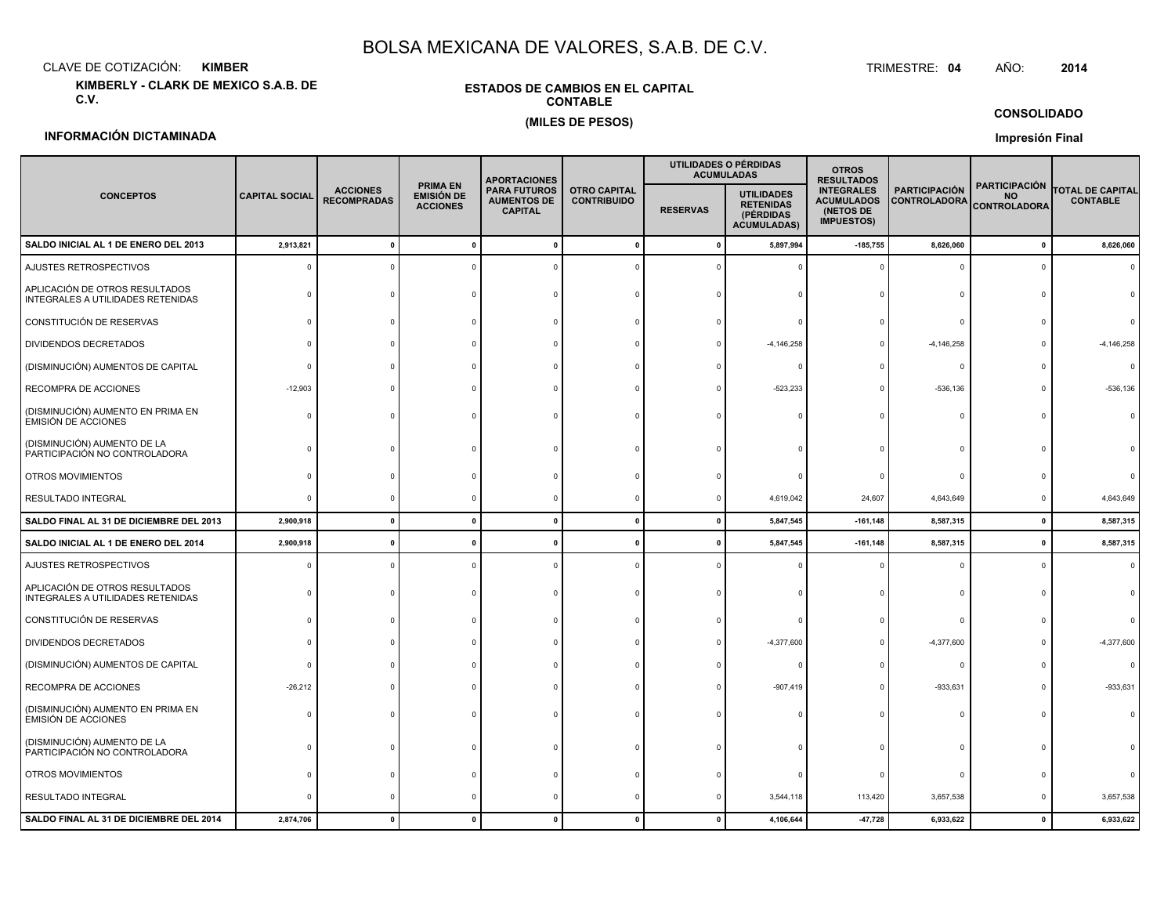CLAVE DE COTIZACIÓN:**KIMBER**: KIMBER TRIMESTRE:

**KIMBERLY - CLARK DE MEXICO S.A.B. DE C.V.**

### **ESTADOS DE CAMBIOS EN EL CAPITALCONTABLE(MILES DE PESOS)**

#### TRIMESTRE: 04 AÑO: **<sup>2014</sup>**

**CONSOLIDADO**

## **INFORMACIÓN DICTAMINADA**

**Impresión Final**

|                                                                     |                       |                                       |                                                         | <b>APORTACIONES</b>                                         |                                           | UTILIDADES O PÉRDIDAS<br><b>ACUMULADAS</b> |                                                                          | <b>OTROS</b><br><b>RESULTADOS</b>                                        |                                             |                                                          |                                            |
|---------------------------------------------------------------------|-----------------------|---------------------------------------|---------------------------------------------------------|-------------------------------------------------------------|-------------------------------------------|--------------------------------------------|--------------------------------------------------------------------------|--------------------------------------------------------------------------|---------------------------------------------|----------------------------------------------------------|--------------------------------------------|
| <b>CONCEPTOS</b>                                                    | <b>CAPITAL SOCIAL</b> | <b>ACCIONES</b><br><b>RECOMPRADAS</b> | <b>PRIMA EN</b><br><b>EMISIÓN DE</b><br><b>ACCIONES</b> | <b>PARA FUTUROS</b><br><b>AUMENTOS DE</b><br><b>CAPITAL</b> | <b>OTRO CAPITAL</b><br><b>CONTRIBUIDO</b> | <b>RESERVAS</b>                            | <b>UTILIDADES</b><br><b>RETENIDAS</b><br>(PÉRDIDAS<br><b>ACUMULADAS)</b> | <b>INTEGRALES</b><br><b>ACUMULADOS</b><br>(NETOS DE<br><b>IMPUESTOS)</b> | <b>PARTICIPACIÓN</b><br><b>CONTROLADORA</b> | <b>PARTICIPACIÓN</b><br><b>NO</b><br><b>CONTROLADORA</b> | <b>TOTAL DE CAPITAL</b><br><b>CONTABLE</b> |
| SALDO INICIAL AL 1 DE ENERO DEL 2013                                | 2,913,821             | $\mathbf{0}$                          | $\mathbf{0}$                                            | $\Omega$                                                    |                                           | - 0                                        | 5,897,994                                                                | $-185,755$                                                               | 8,626,060                                   | $\mathbf 0$                                              | 8,626,060                                  |
| AJUSTES RETROSPECTIVOS                                              |                       |                                       |                                                         |                                                             |                                           |                                            |                                                                          |                                                                          |                                             | $\Omega$                                                 |                                            |
| APLICACIÓN DE OTROS RESULTADOS<br>INTEGRALES A UTILIDADES RETENIDAS |                       |                                       |                                                         |                                                             |                                           |                                            |                                                                          |                                                                          | $\Omega$                                    |                                                          |                                            |
| CONSTITUCIÓN DE RESERVAS                                            |                       |                                       |                                                         |                                                             |                                           |                                            |                                                                          |                                                                          | $\Omega$                                    |                                                          |                                            |
| DIVIDENDOS DECRETADOS                                               |                       |                                       |                                                         |                                                             |                                           |                                            | $-4, 146, 258$                                                           | $\Omega$                                                                 | $-4,146,258$                                |                                                          | $-4, 146, 258$                             |
| (DISMINUCIÓN) AUMENTOS DE CAPITAL                                   |                       |                                       |                                                         |                                                             |                                           |                                            |                                                                          | $\Omega$                                                                 | $^{\circ}$                                  |                                                          | n                                          |
| RECOMPRA DE ACCIONES                                                | $-12,903$             |                                       |                                                         |                                                             |                                           |                                            | $-523,233$                                                               | $\Omega$                                                                 | $-536, 136$                                 | <sup>n</sup>                                             | $-536, 136$                                |
| (DISMINUCIÓN) AUMENTO EN PRIMA EN<br>EMISIÓN DE ACCIONES            |                       |                                       |                                                         |                                                             |                                           |                                            |                                                                          | $\Omega$                                                                 | $\Omega$                                    |                                                          |                                            |
| (DISMINUCIÓN) AUMENTO DE LA<br>PARTICIPACIÓN NO CONTROLADORA        |                       |                                       |                                                         |                                                             |                                           |                                            |                                                                          |                                                                          |                                             |                                                          |                                            |
| OTROS MOVIMIENTOS                                                   |                       |                                       |                                                         |                                                             |                                           |                                            |                                                                          | $\Omega$                                                                 | n                                           |                                                          |                                            |
| RESULTADO INTEGRAL                                                  |                       |                                       |                                                         |                                                             |                                           |                                            | 4,619,042                                                                | 24,607                                                                   | 4,643,649                                   | $\Omega$                                                 | 4,643,649                                  |
| SALDO FINAL AL 31 DE DICIEMBRE DEL 2013                             | 2,900,918             | $\Omega$                              | $\mathbf{0}$                                            |                                                             | $\mathbf{0}$                              | - 0                                        | 5,847,545                                                                | $-161, 148$                                                              | 8,587,315                                   | $\mathbf{0}$                                             | 8,587,315                                  |
| SALDO INICIAL AL 1 DE ENERO DEL 2014                                | 2,900,918             |                                       |                                                         |                                                             |                                           |                                            | 5,847,545                                                                | $-161, 148$                                                              | 8,587,315                                   | $\mathbf 0$                                              | 8,587,315                                  |
| AJUSTES RETROSPECTIVOS                                              |                       | C                                     |                                                         |                                                             |                                           |                                            |                                                                          | $\Omega$                                                                 | $\Omega$                                    | $\Omega$                                                 |                                            |
| APLICACIÓN DE OTROS RESULTADOS<br>INTEGRALES A UTILIDADES RETENIDAS |                       |                                       |                                                         |                                                             |                                           |                                            |                                                                          |                                                                          | n                                           |                                                          |                                            |
| CONSTITUCIÓN DE RESERVAS                                            |                       |                                       |                                                         |                                                             |                                           |                                            |                                                                          |                                                                          |                                             |                                                          |                                            |
| DIVIDENDOS DECRETADOS                                               |                       |                                       |                                                         |                                                             |                                           |                                            | $-4,377,600$                                                             |                                                                          | $-4,377,600$                                |                                                          | $-4,377,600$                               |
| (DISMINUCIÓN) AUMENTOS DE CAPITAL                                   |                       |                                       |                                                         |                                                             |                                           |                                            |                                                                          |                                                                          | $\Omega$                                    |                                                          |                                            |
| RECOMPRA DE ACCIONES                                                | $-26,212$             |                                       |                                                         |                                                             |                                           |                                            | $-907,419$                                                               | $\Omega$                                                                 | $-933,631$                                  |                                                          | $-933,631$                                 |
| (DISMINUCIÓN) AUMENTO EN PRIMA EN<br><b>EMISIÓN DE ACCIONES</b>     |                       |                                       |                                                         |                                                             |                                           |                                            |                                                                          |                                                                          |                                             |                                                          |                                            |
| (DISMINUCIÓN) AUMENTO DE LA<br>PARTICIPACIÓN NO CONTROLADORA        |                       |                                       |                                                         |                                                             |                                           |                                            |                                                                          |                                                                          |                                             |                                                          |                                            |
| OTROS MOVIMIENTOS                                                   |                       |                                       |                                                         |                                                             |                                           |                                            |                                                                          |                                                                          | $\Omega$                                    |                                                          |                                            |
| RESULTADO INTEGRAL                                                  |                       |                                       |                                                         |                                                             |                                           |                                            | 3,544,118                                                                | 113,420                                                                  | 3,657,538                                   | 0                                                        | 3,657,538                                  |
| SALDO FINAL AL 31 DE DICIEMBRE DEL 2014                             | 2,874,706             |                                       | $\Omega$                                                |                                                             |                                           |                                            | 4,106,644                                                                | $-47,728$                                                                | 6,933,622                                   | $\pmb{0}$                                                | 6,933,622                                  |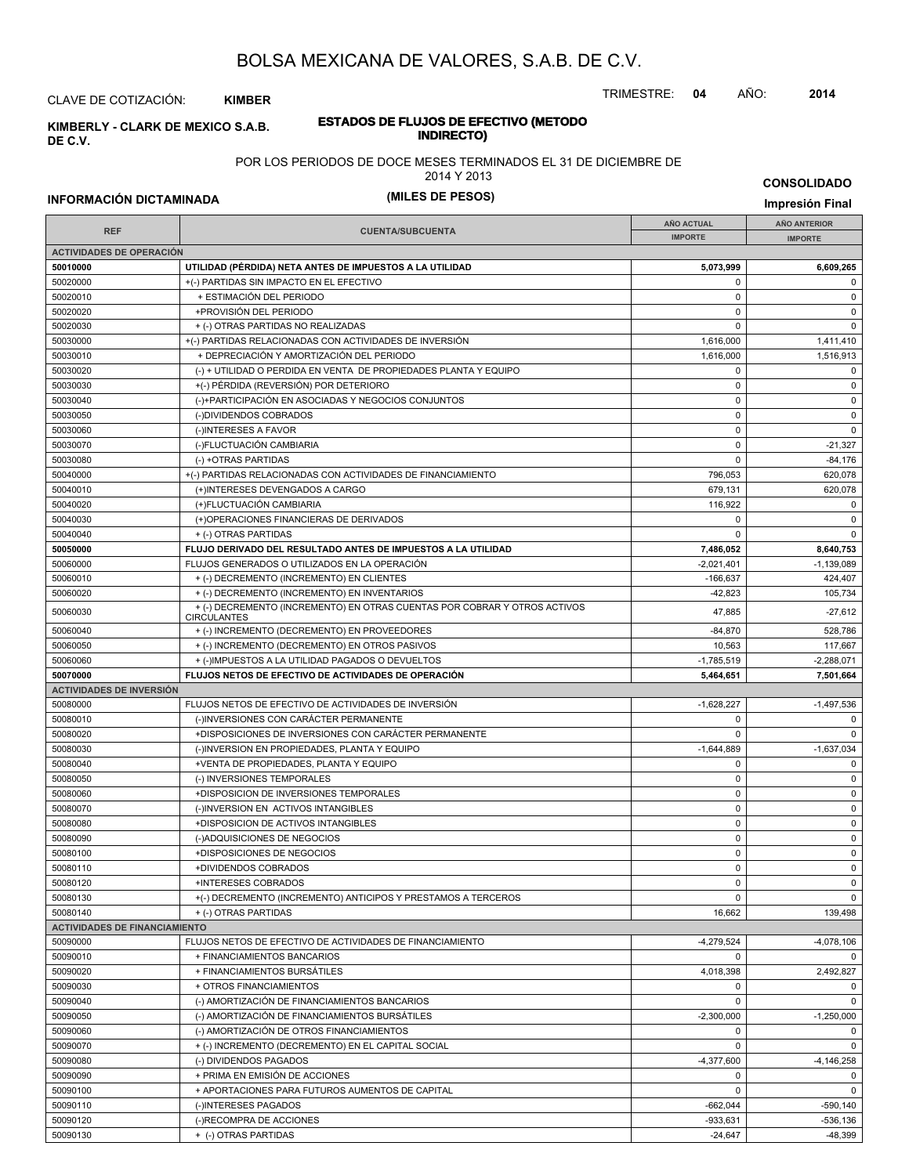TRIMESTRE: **04** AÑO: **2014**

CLAVE DE COTIZACIÓN: **KIMBER**

**INDIRECTO) KIMBERLY - CLARK DE MEXICO S.A.B. DE C.V.**

# **ESTADOS DE FLUJOS DE EFECTIVO (METODO**

POR LOS PERIODOS DE DOCE MESES TERMINADOS EL 31 DE DICIEMBRE DE

2014 Y 2013

**INFORMACIÓN DICTAMINADA (MILES DE PESOS) Impresión Final**

**CONSOLIDADO**

|                                      |                                                                                                 | <b>AÑO ACTUAL</b>        | AÑO ANTERIOR                |  |
|--------------------------------------|-------------------------------------------------------------------------------------------------|--------------------------|-----------------------------|--|
| <b>REF</b>                           | <b>CUENTA/SUBCUENTA</b>                                                                         | <b>IMPORTE</b>           | <b>IMPORTE</b>              |  |
| <b>ACTIVIDADES DE OPERACIÓN</b>      |                                                                                                 |                          |                             |  |
| 50010000                             | UTILIDAD (PÉRDIDA) NETA ANTES DE IMPUESTOS A LA UTILIDAD                                        | 5,073,999                | 6,609,265                   |  |
| 50020000                             | +(-) PARTIDAS SIN IMPACTO EN EL EFECTIVO                                                        | $\mathbf 0$              | $\mathbf 0$                 |  |
| 50020010                             | + ESTIMACIÓN DEL PERIODO                                                                        | $\mathbf 0$              | $\mathbf 0$                 |  |
| 50020020                             | +PROVISIÓN DEL PERIODO                                                                          | $\mathbf 0$              | $\mathbf 0$                 |  |
| 50020030                             | + (-) OTRAS PARTIDAS NO REALIZADAS                                                              | $\mathbf 0$              | $\mathbf 0$                 |  |
| 50030000                             | +(-) PARTIDAS RELACIONADAS CON ACTIVIDADES DE INVERSIÓN                                         | 1,616,000                | 1,411,410                   |  |
| 50030010                             | + DEPRECIACIÓN Y AMORTIZACIÓN DEL PERIODO                                                       | 1,616,000                | 1,516,913                   |  |
| 50030020                             | (-) + UTILIDAD O PERDIDA EN VENTA DE PROPIEDADES PLANTA Y EQUIPO                                | $\mathbf 0$              | $\mathbf 0$                 |  |
| 50030030                             | +(-) PÉRDIDA (REVERSIÓN) POR DETERIORO                                                          | $\mathbf 0$              | $\mathbf 0$                 |  |
| 50030040                             | (-)+PARTICIPACIÓN EN ASOCIADAS Y NEGOCIOS CONJUNTOS                                             | $\mathbf 0$              | $\mathbf 0$                 |  |
| 50030050                             | (-)DIVIDENDOS COBRADOS                                                                          | $\mathbf 0$              | $\mathsf 0$                 |  |
| 50030060                             | (-)INTERESES A FAVOR                                                                            | $\mathbf 0$              | $\mathbf 0$                 |  |
| 50030070                             | (-)FLUCTUACIÓN CAMBIARIA                                                                        | $\mathbf 0$              | $-21,327$                   |  |
| 50030080                             | (-) +OTRAS PARTIDAS                                                                             | $\mathbf 0$              | $-84,176$                   |  |
| 50040000                             | +(-) PARTIDAS RELACIONADAS CON ACTIVIDADES DE FINANCIAMIENTO                                    | 796,053                  | 620,078                     |  |
| 50040010                             | (+)INTERESES DEVENGADOS A CARGO                                                                 | 679,131                  | 620,078                     |  |
| 50040020                             | (+)FLUCTUACIÓN CAMBIARIA                                                                        | 116,922                  | $\mathbf 0$                 |  |
| 50040030                             | (+)OPERACIONES FINANCIERAS DE DERIVADOS                                                         | 0                        | $\mathbf 0$                 |  |
| 50040040                             | + (-) OTRAS PARTIDAS                                                                            | $\Omega$                 | $\mathbf 0$                 |  |
| 50050000                             | FLUJO DERIVADO DEL RESULTADO ANTES DE IMPUESTOS A LA UTILIDAD                                   | 7,486,052                | 8,640,753                   |  |
| 50060000                             | FLUJOS GENERADOS O UTILIZADOS EN LA OPERACIÓN                                                   | $-2,021,401$             | $-1,139,089$                |  |
| 50060010                             | + (-) DECREMENTO (INCREMENTO) EN CLIENTES                                                       | $-166,637$               | 424,407                     |  |
| 50060020                             | + (-) DECREMENTO (INCREMENTO) EN INVENTARIOS                                                    | $-42,823$                | 105,734                     |  |
| 50060030                             | + (-) DECREMENTO (INCREMENTO) EN OTRAS CUENTAS POR COBRAR Y OTROS ACTIVOS<br><b>CIRCULANTES</b> | 47,885                   | $-27,612$                   |  |
| 50060040                             | + (-) INCREMENTO (DECREMENTO) EN PROVEEDORES                                                    | $-84,870$                | 528,786                     |  |
| 50060050                             | + (-) INCREMENTO (DECREMENTO) EN OTROS PASIVOS                                                  | 10,563                   | 117,667                     |  |
| 50060060                             | + (-)IMPUESTOS A LA UTILIDAD PAGADOS O DEVUELTOS                                                | $-1,785,519$             | $-2,288,071$                |  |
| 50070000                             | FLUJOS NETOS DE EFECTIVO DE ACTIVIDADES DE OPERACIÓN                                            | 5,464,651                | 7,501,664                   |  |
| <b>ACTIVIDADES DE INVERSIÓN</b>      |                                                                                                 |                          |                             |  |
| 50080000                             | FLUJOS NETOS DE EFECTIVO DE ACTIVIDADES DE INVERSIÓN                                            | $-1,628,227$             | $-1,497,536$                |  |
| 50080010                             | (-)INVERSIONES CON CARÁCTER PERMANENTE                                                          | 0                        | 0                           |  |
| 50080020                             | +DISPOSICIONES DE INVERSIONES CON CARÁCTER PERMANENTE                                           | $\mathbf 0$              | $\mathbf 0$                 |  |
| 50080030                             | (-)INVERSION EN PROPIEDADES, PLANTA Y EQUIPO                                                    | $-1,644,889$             | $-1,637,034$                |  |
| 50080040                             | +VENTA DE PROPIEDADES, PLANTA Y EQUIPO                                                          | $\mathbf 0$              | $\mathbf 0$                 |  |
| 50080050                             | (-) INVERSIONES TEMPORALES                                                                      | $\mathbf 0$              | $\mathbf 0$                 |  |
| 50080060                             | +DISPOSICION DE INVERSIONES TEMPORALES                                                          | $\mathbf 0$              | $\mathbf 0$                 |  |
| 50080070                             | (-)INVERSION EN ACTIVOS INTANGIBLES                                                             | $\mathbf 0$              | $\mathbf 0$                 |  |
| 50080080                             | +DISPOSICION DE ACTIVOS INTANGIBLES                                                             | $\mathbf 0$              | $\mathbf 0$                 |  |
| 50080090                             | (-)ADQUISICIONES DE NEGOCIOS                                                                    | $\mathbf 0$              | $\mathbf 0$                 |  |
| 50080100                             | +DISPOSICIONES DE NEGOCIOS                                                                      | $\mathbf 0$              | $\mathbf 0$                 |  |
| 50080110                             | +DIVIDENDOS COBRADOS                                                                            | $\mathbf 0$              | $\mathbf 0$                 |  |
|                                      |                                                                                                 |                          | $\Omega$                    |  |
| 50080120<br>50080130                 | +INTERESES COBRADOS<br>+(-) DECREMENTO (INCREMENTO) ANTICIPOS Y PRESTAMOS A TERCEROS            | 0<br>$\mathbf 0$         | $\mathbf 0$                 |  |
| 50080140                             | + (-) OTRAS PARTIDAS                                                                            | 16,662                   |                             |  |
| <b>ACTIVIDADES DE FINANCIAMIENTO</b> |                                                                                                 |                          | 139,498                     |  |
| 50090000                             | FLUJOS NETOS DE EFECTIVO DE ACTIVIDADES DE FINANCIAMIENTO                                       | $-4,279,524$             |                             |  |
| 50090010                             | + FINANCIAMIENTOS BANCARIOS                                                                     | $\mathbf 0$              | $-4,078,106$<br>$\mathbf 0$ |  |
|                                      | + FINANCIAMIENTOS BURSÁTILES                                                                    |                          |                             |  |
| 50090020                             |                                                                                                 | 4,018,398<br>$\mathbf 0$ | 2,492,827                   |  |
| 50090030                             | + OTROS FINANCIAMIENTOS                                                                         |                          | 0                           |  |
| 50090040                             | (-) AMORTIZACIÓN DE FINANCIAMIENTOS BANCARIOS                                                   | $\mathbf 0$              | $\mathbf 0$                 |  |
| 50090050                             | (-) AMORTIZACIÓN DE FINANCIAMIENTOS BURSÁTILES                                                  | $-2,300,000$             | $-1,250,000$                |  |
| 50090060                             | (-) AMORTIZACIÓN DE OTROS FINANCIAMIENTOS                                                       | $\mathbf 0$              | $\mathbf 0$                 |  |
| 50090070                             | + (-) INCREMENTO (DECREMENTO) EN EL CAPITAL SOCIAL                                              | $\mathbf 0$              | $\mathbf 0$                 |  |
| 50090080                             | (-) DIVIDENDOS PAGADOS                                                                          | $-4,377,600$             | $-4,146,258$                |  |
| 50090090                             | + PRIMA EN EMISIÓN DE ACCIONES                                                                  | $\mathbf 0$              | $\mathbf 0$                 |  |
| 50090100                             | + APORTACIONES PARA FUTUROS AUMENTOS DE CAPITAL                                                 | $\mathbf 0$              | $\mathbf 0$                 |  |
| 50090110                             | (-)INTERESES PAGADOS                                                                            | $-662,044$               | $-590,140$                  |  |
| 50090120                             | (-)RECOMPRA DE ACCIONES                                                                         | $-933,631$               | $-536,136$                  |  |
| 50090130                             | + (-) OTRAS PARTIDAS                                                                            | $-24,647$                | $-48,399$                   |  |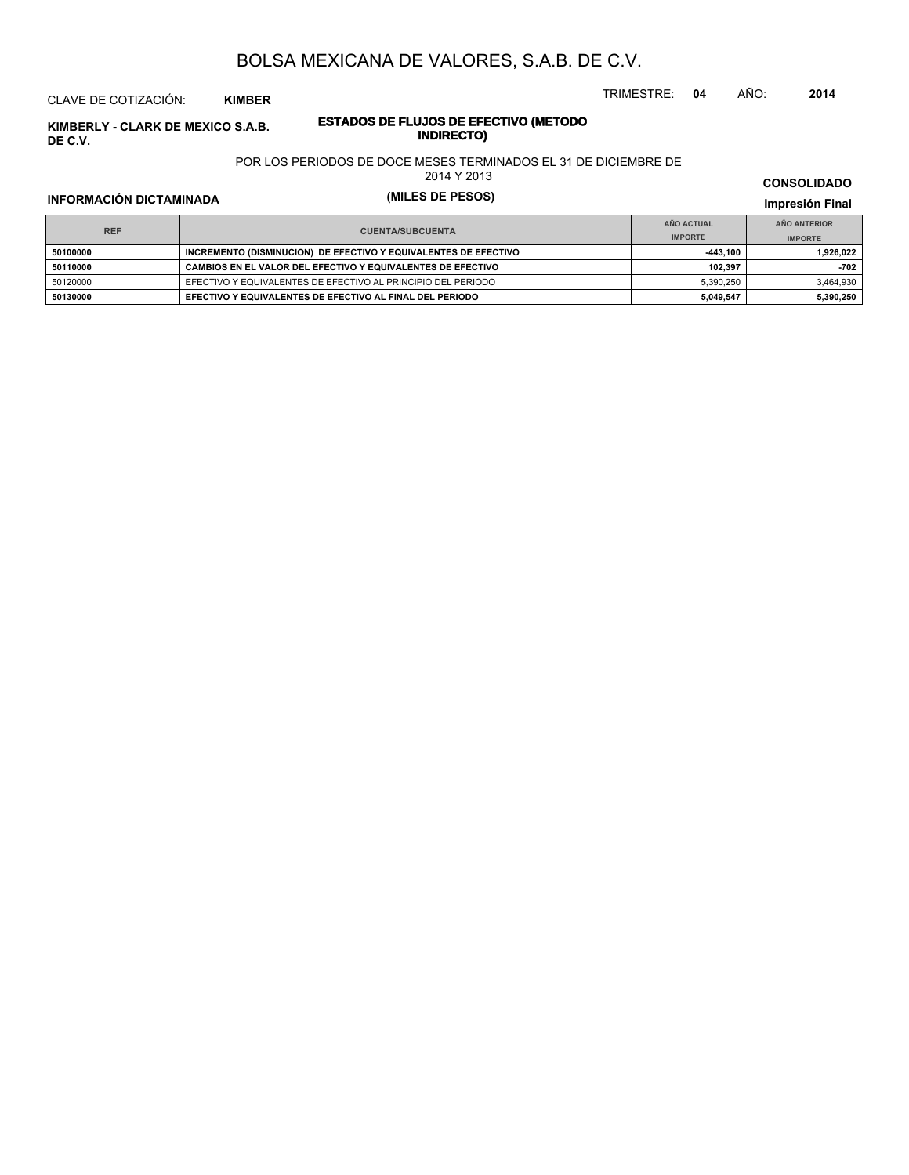#### CLAVE DE COTIZACIÓN: **KIMBER**

**INDERLY - CLARK DE MEXICO S.A.B. ESTADOS DE FLUJOS DE EFE**<br>INDIRECTO **DE C.V.**

# **ESTADOS DE FLUJOS DE EFECTIVO (METODO**

POR LOS PERIODOS DE DOCE MESES TERMINADOS EL 31 DE DICIEMBRE DE

2014 Y 2013

## **INFORMACIÓN DICTAMINADA (MILES DE PESOS) Impresión Final**

**IMPRESIÓN FINAL EN EN ENCLORED EN EL ENCLORED EN EL ENCLORED EN EL ENCLORED EN EL ENCLORED EN EL ENCLORED EN EL ENCLORED EN EL ENCLORED EN EL ENCLORED EN EL ENCLORED EN EL ENCLORED EN EL ENCLORED EN EL ENCLORED EN EL ENCL AÑO ACTUAL IMPORTE IMPORTE REF AÑO ANTERIOR IMPORTE INCREMENTO (DISMINUCION) DE EFECTIVO Y EQUIVALENTES DE EFECTIVO <b>1999 1999 1999 11,926,022**<br> **INCREMENTO (DISMINUCION)** DE EFECTIVO Y EQUIVALENTES DE EFECTIVO **50110000 CAMBIOS EN EL VALOR DEL EFECTIVO Y EQUIVALENTES DE EFECTIVO 102,397 -702** 50120000 EFECTIVO Y EQUIVALENTES DE EFECTIVO AL PRINCIPIO DEL PERIODO 5,390,250 5,390,250 5,464,930 **50130000 EFECTIVO Y EQUIVALENTES DE EFECTIVO AL FINAL DEL PERIODO 5,049,547 5,390,250**

#### **CONSOLIDADO**

TRIMESTRE: **04** AÑO: **2014**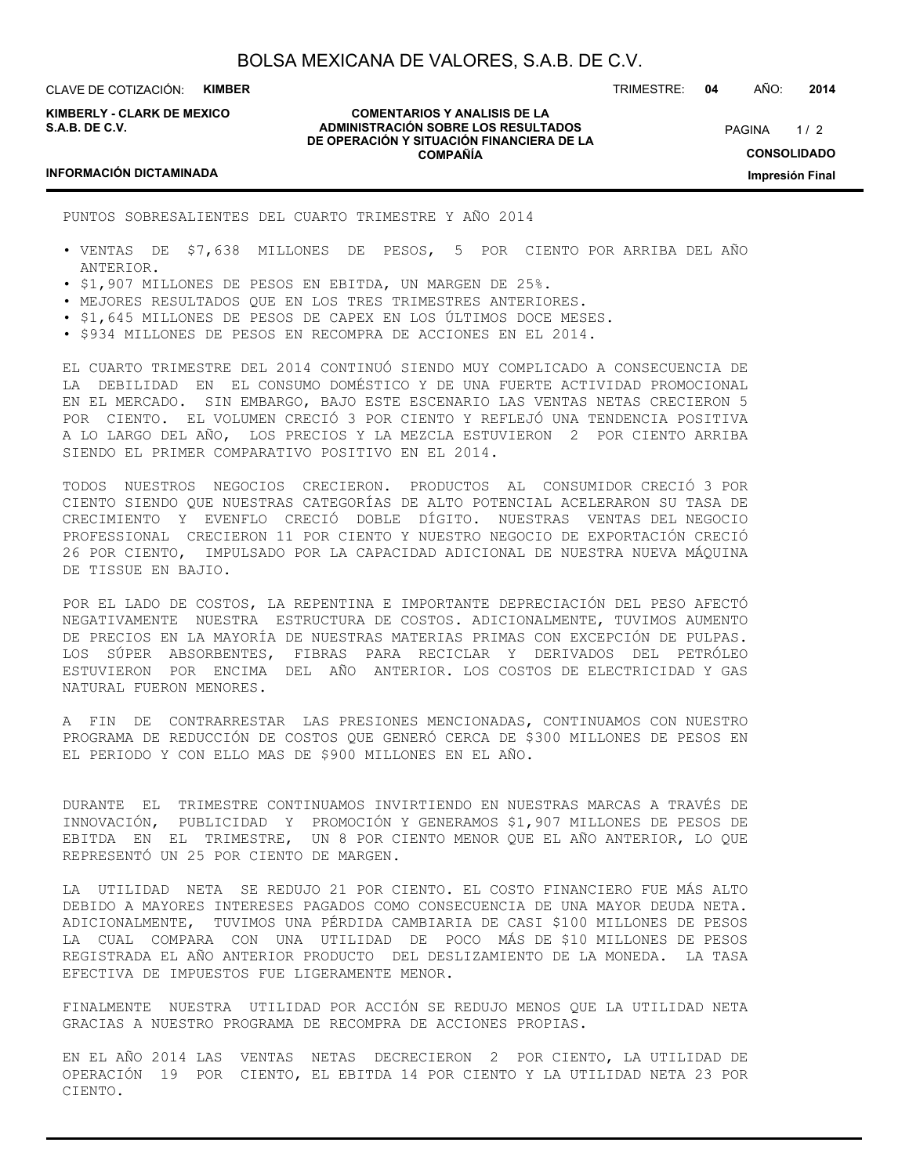**KIMBERLY - CLARK DE MEXICO S.A.B. DE C.V.**

#### **COMENTARIOS Y ANALISIS DE LA ADMINISTRACIÓN SOBRE LOS RESULTADOS DE OPERACIÓN Y SITUACIÓN FINANCIERA DE LA COMPAÑÍA**

 $1/2$ **CONSOLIDADO Impresión Final PAGINA** 

TRIMESTRE: **04** AÑO: **2014**

#### **INFORMACIÓN DICTAMINADA**

PUNTOS SOBRESALIENTES DEL CUARTO TRIMESTRE Y AÑO 2014

- VENTAS DE \$7,638 MILLONES DE PESOS, 5 POR CIENTO POR ARRIBA DEL AÑO ANTERIOR.
- \$1,907 MILLONES DE PESOS EN EBITDA, UN MARGEN DE 25%.
- MEJORES RESULTADOS QUE EN LOS TRES TRIMESTRES ANTERIORES.
- \$1,645 MILLONES DE PESOS DE CAPEX EN LOS ÚLTIMOS DOCE MESES.
- \$934 MILLONES DE PESOS EN RECOMPRA DE ACCIONES EN EL 2014.

EL CUARTO TRIMESTRE DEL 2014 CONTINUÓ SIENDO MUY COMPLICADO A CONSECUENCIA DE LA DEBILIDAD EN EL CONSUMO DOMÉSTICO Y DE UNA FUERTE ACTIVIDAD PROMOCIONAL EN EL MERCADO. SIN EMBARGO, BAJO ESTE ESCENARIO LAS VENTAS NETAS CRECIERON 5 POR CIENTO. EL VOLUMEN CRECIÓ 3 POR CIENTO Y REFLEJÓ UNA TENDENCIA POSITIVA A LO LARGO DEL AÑO, LOS PRECIOS Y LA MEZCLA ESTUVIERON 2 POR CIENTO ARRIBA SIENDO EL PRIMER COMPARATIVO POSITIVO EN EL 2014.

TODOS NUESTROS NEGOCIOS CRECIERON. PRODUCTOS AL CONSUMIDOR CRECIÓ 3 POR CIENTO SIENDO QUE NUESTRAS CATEGORÍAS DE ALTO POTENCIAL ACELERARON SU TASA DE CRECIMIENTO Y EVENFLO CRECIÓ DOBLE DÍGITO. NUESTRAS VENTAS DEL NEGOCIO PROFESSIONAL CRECIERON 11 POR CIENTO Y NUESTRO NEGOCIO DE EXPORTACIÓN CRECIÓ 26 POR CIENTO, IMPULSADO POR LA CAPACIDAD ADICIONAL DE NUESTRA NUEVA MÁQUINA DE TISSUE EN BAJIO.

POR EL LADO DE COSTOS, LA REPENTINA E IMPORTANTE DEPRECIACIÓN DEL PESO AFECTÓ NEGATIVAMENTE NUESTRA ESTRUCTURA DE COSTOS. ADICIONALMENTE, TUVIMOS AUMENTO DE PRECIOS EN LA MAYORÍA DE NUESTRAS MATERIAS PRIMAS CON EXCEPCIÓN DE PULPAS. LOS SÚPER ABSORBENTES, FIBRAS PARA RECICLAR Y DERIVADOS DEL PETRÓLEO ESTUVIERON POR ENCIMA DEL AÑO ANTERIOR. LOS COSTOS DE ELECTRICIDAD Y GAS NATURAL FUERON MENORES.

A FIN DE CONTRARRESTAR LAS PRESIONES MENCIONADAS, CONTINUAMOS CON NUESTRO PROGRAMA DE REDUCCIÓN DE COSTOS QUE GENERÓ CERCA DE \$300 MILLONES DE PESOS EN EL PERIODO Y CON ELLO MAS DE \$900 MILLONES EN EL AÑO.

DURANTE EL TRIMESTRE CONTINUAMOS INVIRTIENDO EN NUESTRAS MARCAS A TRAVÉS DE INNOVACIÓN, PUBLICIDAD Y PROMOCIÓN Y GENERAMOS \$1,907 MILLONES DE PESOS DE EBITDA EN EL TRIMESTRE, UN 8 POR CIENTO MENOR QUE EL AÑO ANTERIOR, LO QUE REPRESENTÓ UN 25 POR CIENTO DE MARGEN.

LA UTILIDAD NETA SE REDUJO 21 POR CIENTO. EL COSTO FINANCIERO FUE MÁS ALTO DEBIDO A MAYORES INTERESES PAGADOS COMO CONSECUENCIA DE UNA MAYOR DEUDA NETA. ADICIONALMENTE, TUVIMOS UNA PÉRDIDA CAMBIARIA DE CASI \$100 MILLONES DE PESOS LA CUAL COMPARA CON UNA UTILIDAD DE POCO MÁS DE \$10 MILLONES DE PESOS REGISTRADA EL AÑO ANTERIOR PRODUCTO DEL DESLIZAMIENTO DE LA MONEDA. LA TASA EFECTIVA DE IMPUESTOS FUE LIGERAMENTE MENOR.

FINALMENTE NUESTRA UTILIDAD POR ACCIÓN SE REDUJO MENOS QUE LA UTILIDAD NETA GRACIAS A NUESTRO PROGRAMA DE RECOMPRA DE ACCIONES PROPIAS.

EN EL AÑO 2014 LAS VENTAS NETAS DECRECIERON 2 POR CIENTO, LA UTILIDAD DE OPERACIÓN 19 POR CIENTO, EL EBITDA 14 POR CIENTO Y LA UTILIDAD NETA 23 POR CIENTO.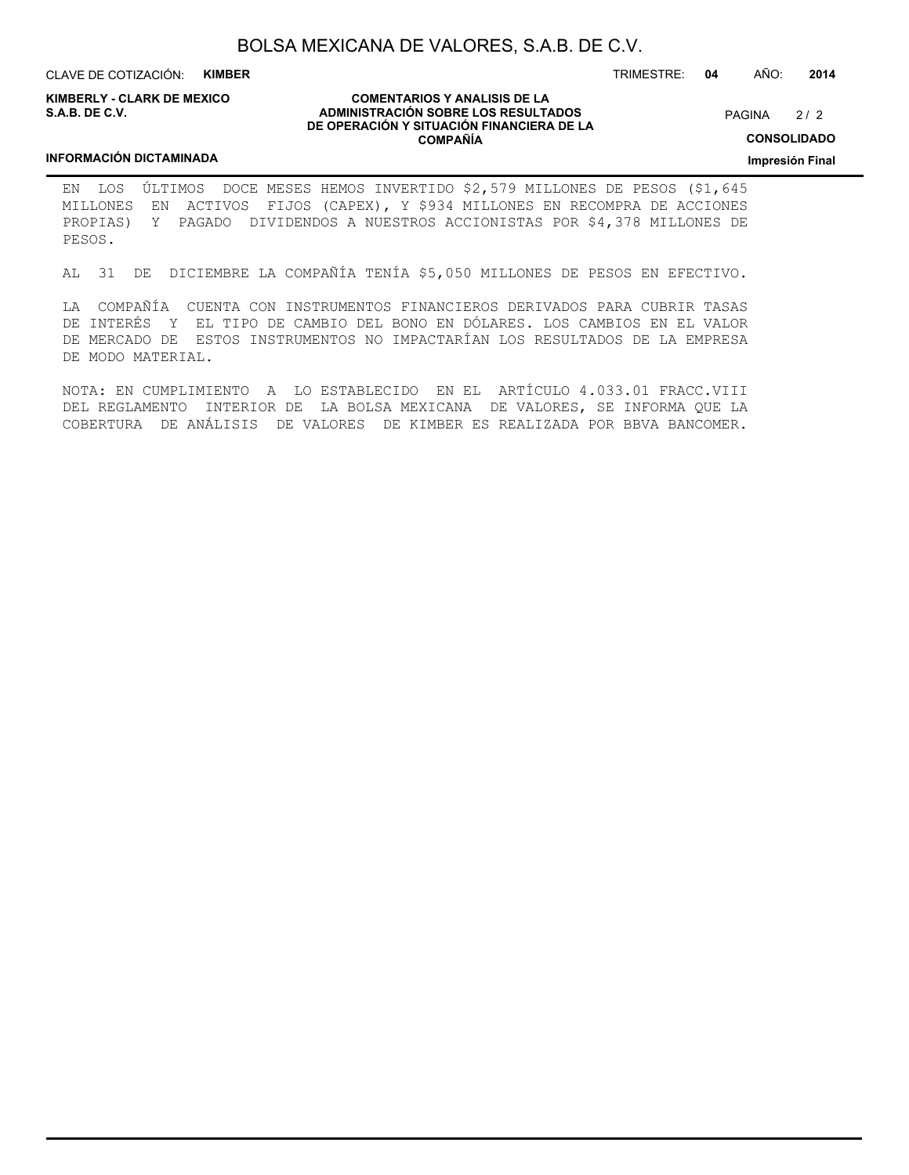CLAVE DE COTIZACIÓN: **KIMBER**

**KIMBERLY - CLARK DE MEXICO S.A.B. DE C.V.**

#### **COMENTARIOS Y ANALISIS DE LA ADMINISTRACIÓN SOBRE LOS RESULTADOS DE OPERACIÓN Y SITUACIÓN FINANCIERA DE LA COMPAÑÍA**

 $2/2$ PAGINA

**CONSOLIDADO**

**Impresión Final**

### **INFORMACIÓN DICTAMINADA**

EN LOS ÚLTIMOS DOCE MESES HEMOS INVERTIDO \$2,579 MILLONES DE PESOS (\$1,645 MILLONES EN ACTIVOS FIJOS (CAPEX), Y \$934 MILLONES EN RECOMPRA DE ACCIONES PROPIAS) Y PAGADO DIVIDENDOS A NUESTROS ACCIONISTAS POR \$4,378 MILLONES DE PESOS.

AL 31 DE DICIEMBRE LA COMPAÑÍA TENÍA \$5,050 MILLONES DE PESOS EN EFECTIVO.

LA COMPAÑÍA CUENTA CON INSTRUMENTOS FINANCIEROS DERIVADOS PARA CUBRIR TASAS DE INTERÉS Y EL TIPO DE CAMBIO DEL BONO EN DÓLARES. LOS CAMBIOS EN EL VALOR DE MERCADO DE ESTOS INSTRUMENTOS NO IMPACTARÍAN LOS RESULTADOS DE LA EMPRESA DE MODO MATERIAL.

NOTA: EN CUMPLIMIENTO A LO ESTABLECIDO EN EL ARTÍCULO 4.033.01 FRACC.VIII DEL REGLAMENTO INTERIOR DE LA BOLSA MEXICANA DE VALORES, SE INFORMA QUE LA COBERTURA DE ANÁLISIS DE VALORES DE KIMBER ES REALIZADA POR BBVA BANCOMER.

TRIMESTRE: **04** AÑO: **2014**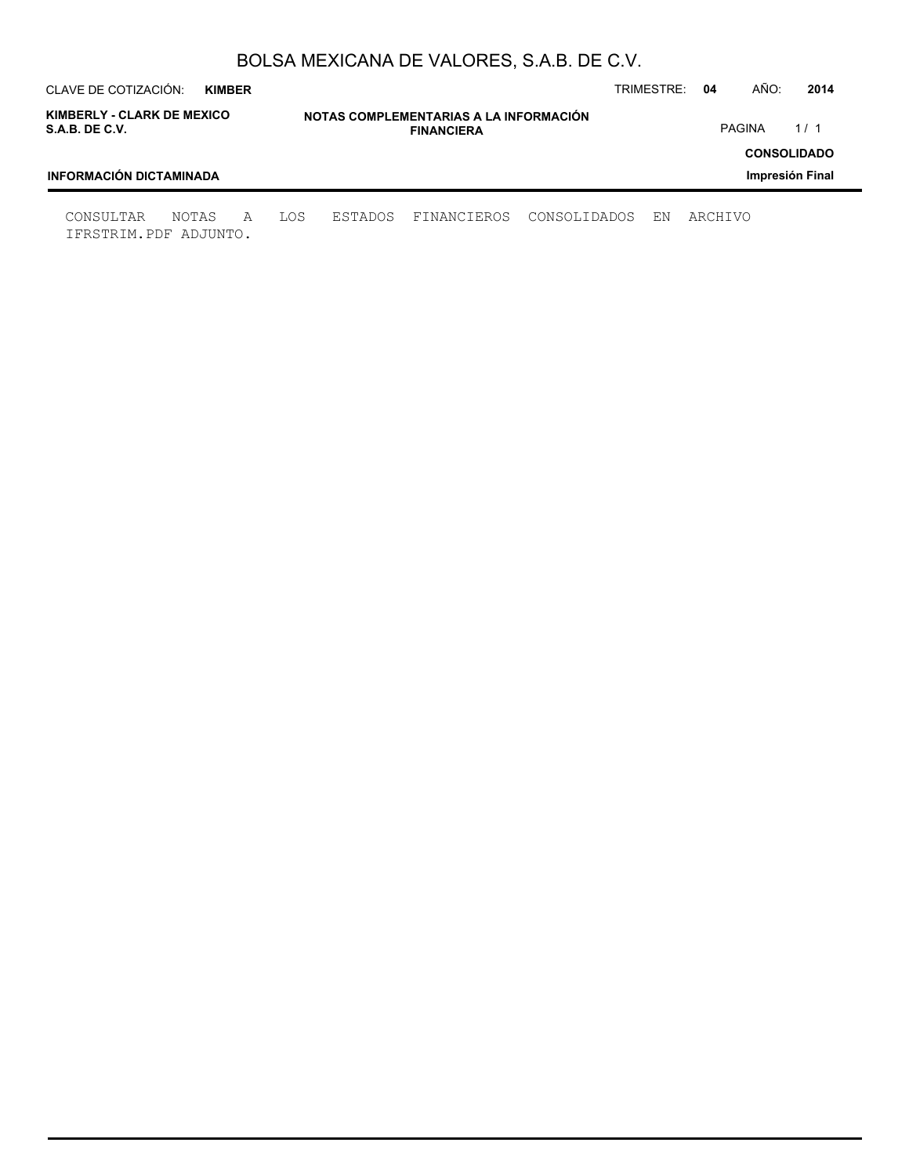| CLAVE DE COTIZACIÓN:<br>TRIMESTRE:<br>04<br><b>KIMBER</b> |                |                                                             |              |    |         |               | 2014                                  |
|-----------------------------------------------------------|----------------|-------------------------------------------------------------|--------------|----|---------|---------------|---------------------------------------|
| KIMBERLY - CLARK DE MEXICO<br>S.A.B. DE C.V.              |                | NOTAS COMPLEMENTARIAS A LA INFORMACIÓN<br><b>FINANCIERA</b> |              |    |         | <b>PAGINA</b> | 1/1                                   |
| <b>INFORMACIÓN DICTAMINADA</b>                            |                |                                                             |              |    |         |               | <b>CONSOLIDADO</b><br>Impresión Final |
| CONSULTAR<br>NOTAS<br>A<br>IFRSTRIM.PDF ADJUNTO.          | LOS<br>ESTADOS | FINANCIEROS                                                 | CONSOLIDADOS | ΕN | ARCHIVO |               |                                       |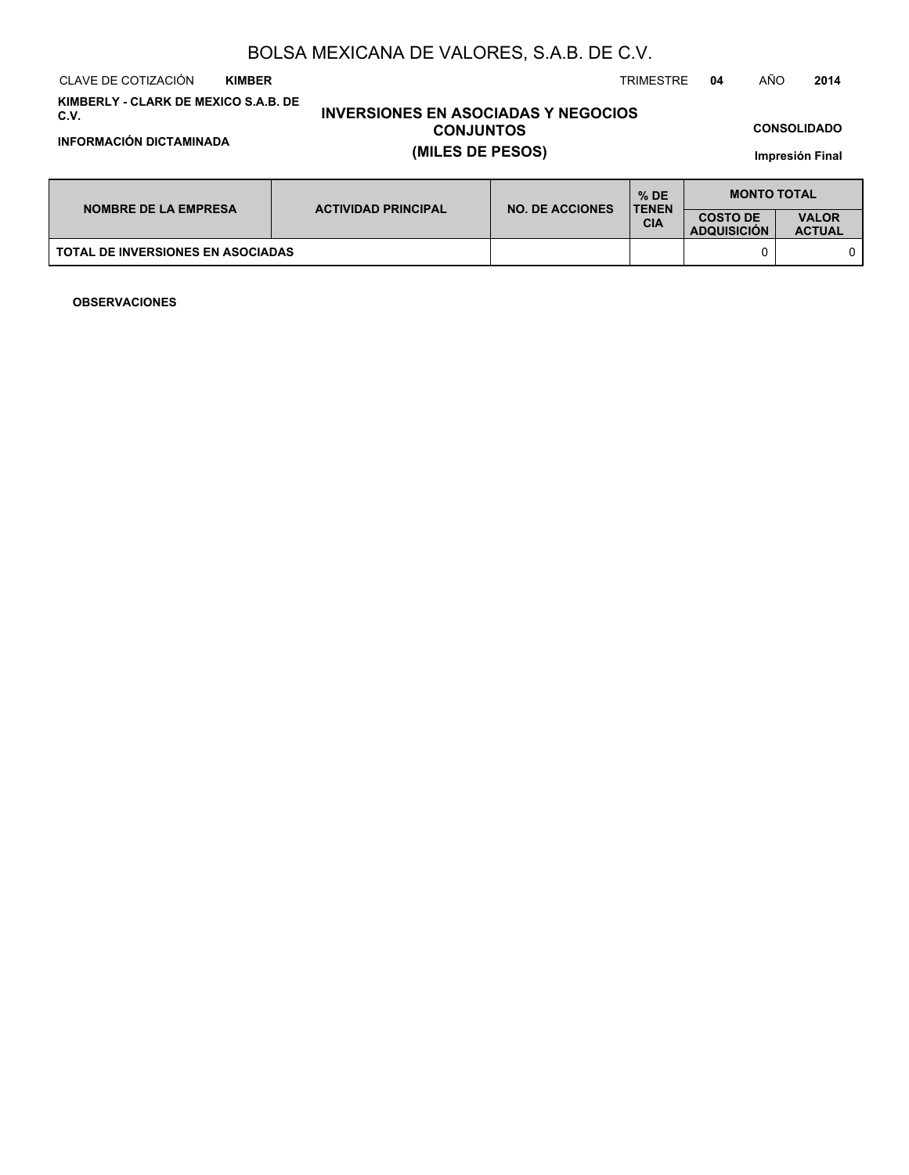CLAVE DE COTIZACIÓN TRIMESTRE **04** AÑO **2014 KIMBER**

**KIMBERLY - CLARK DE MEXICO S.A.B. DE C.V.**

**INFORMACIÓN DICTAMINADA (MILES DE PESOS)**

# **INVERSIONES EN ASOCIADAS Y NEGOCIOS CONJUNTOS**

**CONSOLIDADO**

**Impresión Final**

|                                          | <b>NO. DE ACCIONES</b><br><b>ACTIVIDAD PRINCIPAL</b><br><b>NOMBRE DE LA EMPRESA</b> | $%$ DE<br><b>TENEN</b> | <b>MONTO TOTAL</b>                    |                               |  |
|------------------------------------------|-------------------------------------------------------------------------------------|------------------------|---------------------------------------|-------------------------------|--|
|                                          |                                                                                     | <b>CIA</b>             | <b>COSTO DE</b><br><b>ADQUISICION</b> | <b>VALOR</b><br><b>ACTUAL</b> |  |
| <b>TOTAL DE INVERSIONES EN ASOCIADAS</b> |                                                                                     |                        |                                       |                               |  |

**OBSERVACIONES**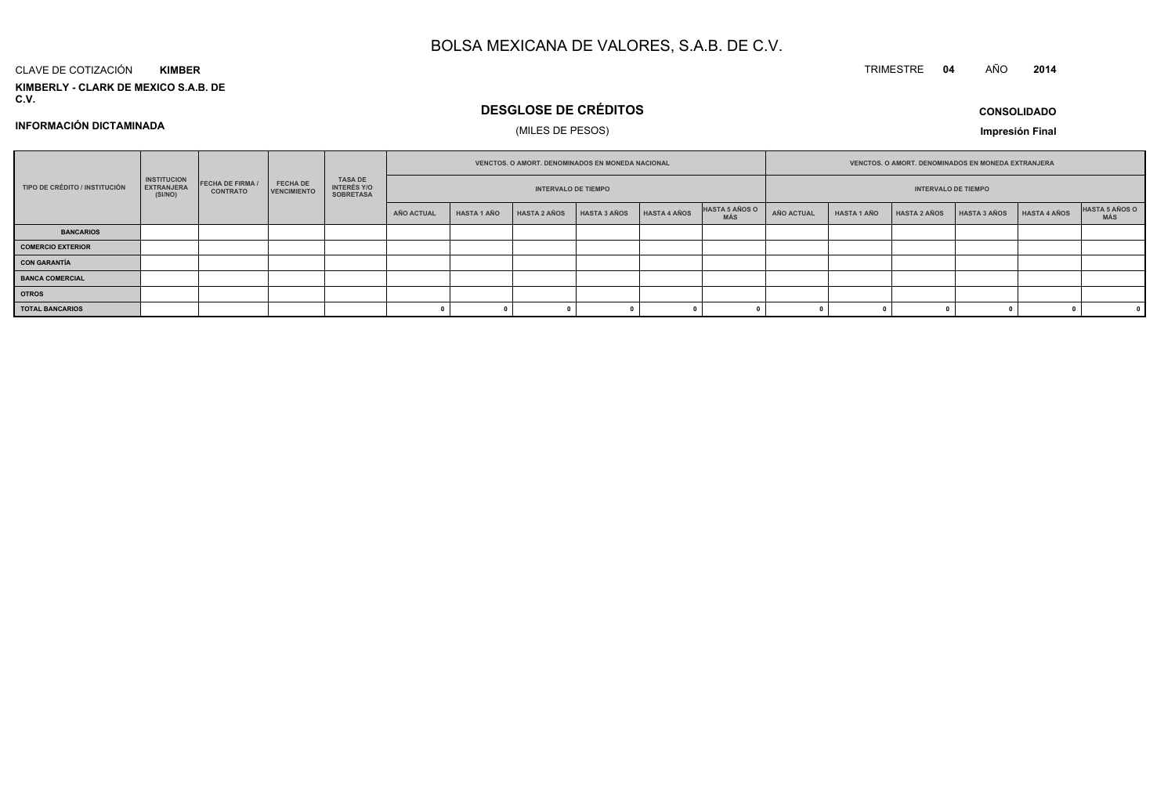#### CLAVE DE COTIZACIÓN**KIMBER**

**KIMBERLY - CLARK DE MEXICO S.A.B. DE C.V.**

## **DESGLOSE DE CRÉDITOS**

## (MILES DE PESOS)

**CONSOLIDADOImpresión Final**

**<sup>2014</sup>**

**INFORMACIÓN DICTAMINADA**

|                               |                                                    |                                            |                                       |                                            |            | VENCTOS. O AMORT. DENOMINADOS EN MONEDA NACIONAL |                            |              |                     | VENCTOS. O AMORT. DENOMINADOS EN MONEDA EXTRANJERA |                   |                    |                            |                     |              |                       |
|-------------------------------|----------------------------------------------------|--------------------------------------------|---------------------------------------|--------------------------------------------|------------|--------------------------------------------------|----------------------------|--------------|---------------------|----------------------------------------------------|-------------------|--------------------|----------------------------|---------------------|--------------|-----------------------|
| TIPO DE CRÉDITO / INSTITUCIÓN | <b>INSTITUCION</b><br><b>EXTRANJERA</b><br>(SI/NO) | <b>FECHA DE FIRMA /</b><br><b>CONTRATO</b> | <b>FECHA DE</b><br><b>VENCIMIENTO</b> | TASA DE<br>INTERÉS Y/O<br><b>SOBRETASA</b> |            |                                                  | <b>INTERVALO DE TIEMPO</b> |              |                     |                                                    |                   |                    | <b>INTERVALO DE TIEMPO</b> |                     |              |                       |
|                               |                                                    |                                            |                                       |                                            | AÑO ACTUAL | <b>HASTA 1 AÑO</b>                               | <b>HASTA 2 AÑOS</b>        | HASTA 3 AÑOS | <b>HASTA 4 AÑOS</b> | HASTA 5 AÑOS O<br>MÁS                              | <b>AÑO ACTUAL</b> | <b>HASTA 1 AÑO</b> | <b>HASTA 2 AÑOS</b>        | <b>HASTA 3 AÑOS</b> | HASTA 4 AÑOS | HASTA 5 AÑOS O<br>MÁS |
| <b>BANCARIOS</b>              |                                                    |                                            |                                       |                                            |            |                                                  |                            |              |                     |                                                    |                   |                    |                            |                     |              |                       |
| <b>COMERCIO EXTERIOR</b>      |                                                    |                                            |                                       |                                            |            |                                                  |                            |              |                     |                                                    |                   |                    |                            |                     |              |                       |
| <b>CON GARANTÍA</b>           |                                                    |                                            |                                       |                                            |            |                                                  |                            |              |                     |                                                    |                   |                    |                            |                     |              |                       |
| <b>BANCA COMERCIAL</b>        |                                                    |                                            |                                       |                                            |            |                                                  |                            |              |                     |                                                    |                   |                    |                            |                     |              |                       |
| <b>OTROS</b>                  |                                                    |                                            |                                       |                                            |            |                                                  |                            |              |                     |                                                    |                   |                    |                            |                     |              |                       |
| <b>TOTAL BANCARIOS</b>        |                                                    |                                            |                                       |                                            |            |                                                  |                            |              |                     |                                                    |                   |                    |                            |                     |              |                       |

TRIMESTRE **<sup>04</sup>** AÑO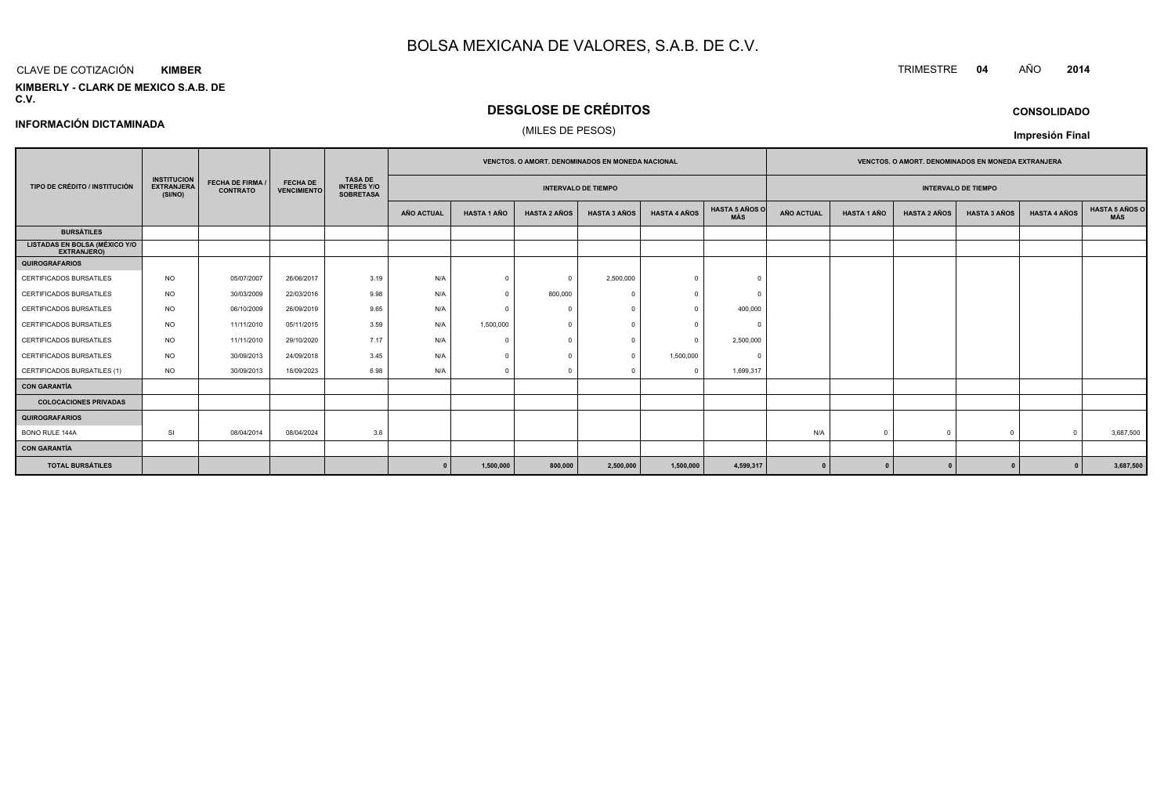#### CLAVE DE COTIZACIÓN**KIMBER**

**KIMBERLY - CLARK DE MEXICO S.A.B. DE C.V.**

## **DESGLOSE DE CRÉDITOS**

(MILES DE PESOS)

| <b>CONSOLIDADO</b> |
|--------------------|
|                    |

**Impresión Final**

**INFORMACIÓN DICTAMINADA**

|                                                            |                                                    |                                            |                                       |                                                          |                   |                    |                     | <b>VENCTOS, O AMORT, DENOMINADOS EN MONEDA NACIONAL</b> |                     |                              |                   |                    | <b>VENCTOS, O AMORT, DENOMINADOS EN MONEDA EXTRANJERA</b> |                            |                     |                       |
|------------------------------------------------------------|----------------------------------------------------|--------------------------------------------|---------------------------------------|----------------------------------------------------------|-------------------|--------------------|---------------------|---------------------------------------------------------|---------------------|------------------------------|-------------------|--------------------|-----------------------------------------------------------|----------------------------|---------------------|-----------------------|
| TIPO DE CRÉDITO / INSTITUCIÓN                              | <b>INSTITUCION</b><br><b>EXTRANJERA</b><br>(SI/NO) | <b>FECHA DE FIRMA /</b><br><b>CONTRATO</b> | <b>FECHA DE</b><br><b>VENCIMIENTO</b> | <b>TASA DE</b><br><b>INTERÉS Y/O</b><br><b>SOBRETASA</b> |                   |                    |                     | <b>INTERVALO DE TIEMPO</b>                              |                     |                              |                   |                    |                                                           | <b>INTERVALO DE TIEMPO</b> |                     |                       |
|                                                            |                                                    |                                            |                                       |                                                          | <b>AÑO ACTUAL</b> | <b>HASTA 1 AÑO</b> | <b>HASTA 2 AÑOS</b> | <b>HASTA 3 AÑOS</b>                                     | <b>HASTA 4 AÑOS</b> | <b>HASTA 5 AÑOS O</b><br>MÁS | <b>AÑO ACTUAL</b> | <b>HASTA 1 AÑO</b> | <b>HASTA 2 AÑOS</b>                                       | <b>HASTA 3 AÑOS</b>        | <b>HASTA 4 AÑOS</b> | HASTA 5 AÑOS C<br>MÁS |
| <b>BURSÁTILES</b>                                          |                                                    |                                            |                                       |                                                          |                   |                    |                     |                                                         |                     |                              |                   |                    |                                                           |                            |                     |                       |
| <b>LISTADAS EN BOLSA (MÉXICO Y/O</b><br><b>EXTRANJERO)</b> |                                                    |                                            |                                       |                                                          |                   |                    |                     |                                                         |                     |                              |                   |                    |                                                           |                            |                     |                       |
| QUIROGRAFARIOS                                             |                                                    |                                            |                                       |                                                          |                   |                    |                     |                                                         |                     |                              |                   |                    |                                                           |                            |                     |                       |
| CERTIFICADOS BURSATILES                                    | <b>NO</b>                                          | 05/07/2007                                 | 26/06/2017                            | 3.19                                                     | N/A               | $\Omega$           | $\Omega$            | 2,500,000                                               |                     |                              |                   |                    |                                                           |                            |                     |                       |
| CERTIFICADOS BURSATILES                                    | <b>NO</b>                                          | 30/03/2009                                 | 22/03/2016                            | 9.98                                                     | N/A               | $\Omega$           | 800,000             | $\sqrt{ }$                                              |                     | $\sqrt{ }$                   |                   |                    |                                                           |                            |                     |                       |
| CERTIFICADOS BURSATILES                                    | <b>NO</b>                                          | 06/10/2009                                 | 26/09/2019                            | 9.65                                                     | N/A               | $\Omega$           |                     |                                                         |                     | 400,000                      |                   |                    |                                                           |                            |                     |                       |
| CERTIFICADOS BURSATILES                                    | <b>NO</b>                                          | 11/11/2010                                 | 05/11/2015                            | 3.59                                                     | N/A               | 1,500,000          | $\Omega$            | $\Omega$                                                |                     | $\Omega$                     |                   |                    |                                                           |                            |                     |                       |
| CERTIFICADOS BURSATILES                                    | <b>NO</b>                                          | 11/11/2010                                 | 29/10/2020                            | 7.17                                                     | N/A               |                    |                     |                                                         |                     | 2,500,000                    |                   |                    |                                                           |                            |                     |                       |
| CERTIFICADOS BURSATILES                                    | <b>NO</b>                                          | 30/09/2013                                 | 24/09/2018                            | 3.45                                                     | N/A               | $\Omega$           |                     | $\overline{0}$                                          | 1,500,000           | $\Omega$                     |                   |                    |                                                           |                            |                     |                       |
| CERTIFICADOS BURSATILES (1)                                | <b>NO</b>                                          | 30/09/2013                                 | 18/09/2023                            | 6.98                                                     | N/A               | $\Omega$           |                     |                                                         |                     | 1,699,317                    |                   |                    |                                                           |                            |                     |                       |
| CON GARANTÍA                                               |                                                    |                                            |                                       |                                                          |                   |                    |                     |                                                         |                     |                              |                   |                    |                                                           |                            |                     |                       |
| <b>COLOCACIONES PRIVADAS</b>                               |                                                    |                                            |                                       |                                                          |                   |                    |                     |                                                         |                     |                              |                   |                    |                                                           |                            |                     |                       |
| QUIROGRAFARIOS                                             |                                                    |                                            |                                       |                                                          |                   |                    |                     |                                                         |                     |                              |                   |                    |                                                           |                            |                     |                       |
| BONO RULE 144A                                             | <b>SI</b>                                          | 08/04/2014                                 | 08/04/2024                            | 3.8                                                      |                   |                    |                     |                                                         |                     |                              | N/A               | $\Omega$           |                                                           | $\Omega$                   |                     | 3,687,500             |
| CON GARANTÍA                                               |                                                    |                                            |                                       |                                                          |                   |                    |                     |                                                         |                     |                              |                   |                    |                                                           |                            |                     |                       |
| <b>TOTAL BURSÁTILES</b>                                    |                                                    |                                            |                                       |                                                          | $\Omega$          | 1,500,000          | 800,000             | 2,500,000                                               | 1,500,000           | 4,599,317                    |                   | $\mathbf{0}$       |                                                           |                            |                     | 3,687,500             |

TRIMESTRE **<sup>04</sup>** AÑO **<sup>2014</sup>**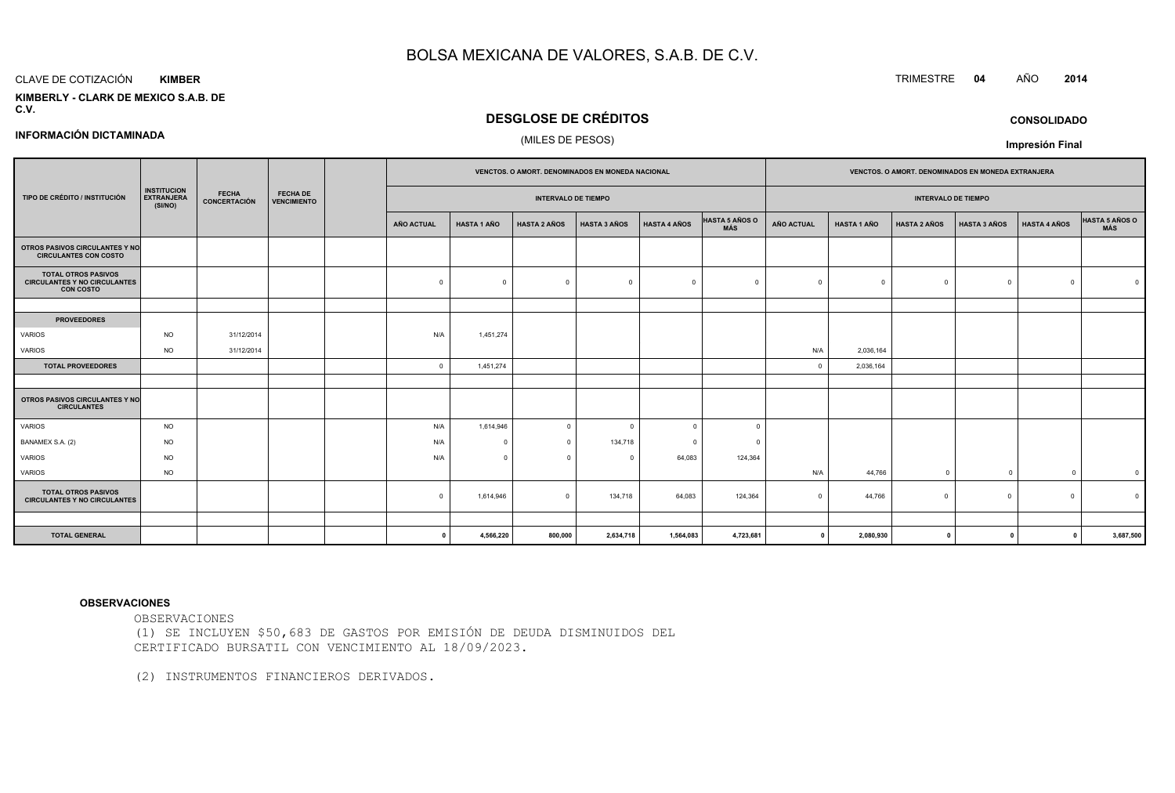#### CLAVE DE COTIZACIÓN**KIMBER**

**INFORMACIÓN DICTAMINADA**

 **KIMBERLY - CLARK DE MEXICO S.A.B. DEC.V.**

## **DESGLOSE DE CRÉDITOS**

#### (MILES DE PESOS)

|                                                                                       |                                                    |                              |                                       |            |                    | VENCTOS. O AMORT. DENOMINADOS EN MONEDA NACIONAL |                     |                     |                              |                   |                    |                            | VENCTOS. O AMORT. DENOMINADOS EN MONEDA EXTRANJERA |                         |                |
|---------------------------------------------------------------------------------------|----------------------------------------------------|------------------------------|---------------------------------------|------------|--------------------|--------------------------------------------------|---------------------|---------------------|------------------------------|-------------------|--------------------|----------------------------|----------------------------------------------------|-------------------------|----------------|
| TIPO DE CRÉDITO / INSTITUCIÓN                                                         | <b>INSTITUCION</b><br><b>EXTRANJERA</b><br>(SI/NO) | <b>FECHA</b><br>CONCERTACIÓN | <b>FECHA DE</b><br><b>VENCIMIENTO</b> |            |                    | <b>INTERVALO DE TIEMPO</b>                       |                     |                     |                              |                   |                    | <b>INTERVALO DE TIEMPO</b> |                                                    |                         |                |
|                                                                                       |                                                    |                              |                                       | AÑO ACTUAL | <b>HASTA 1 AÑO</b> | <b>HASTA 2 AÑOS</b>                              | <b>HASTA 3 AÑOS</b> | <b>HASTA 4 AÑOS</b> | <b>HASTA 5 AÑOS O</b><br>MÁS | <b>AÑO ACTUAL</b> | <b>HASTA 1 AÑO</b> | <b>HASTA 2 AÑOS</b>        | <b>HASTA 3 AÑOS</b>                                | <b>HASTA 4 AÑOS</b>     | HASTA 5 AÑOS O |
| OTROS PASIVOS CIRCULANTES Y NO<br><b>CIRCULANTES CON COSTO</b>                        |                                                    |                              |                                       |            |                    |                                                  |                     |                     |                              |                   |                    |                            |                                                    |                         |                |
| <b>TOTAL OTROS PASIVOS</b><br><b>CIRCULANTES Y NO CIRCULANTES</b><br><b>CON COSTO</b> |                                                    |                              |                                       | O          | $\Omega$           | $\Omega$                                         |                     | $\Omega$            | $\Omega$                     | $\mathbf 0$       | $\Omega$           | $\mathbf 0$                | $\Omega$                                           | $\Omega$                |                |
|                                                                                       |                                                    |                              |                                       |            |                    |                                                  |                     |                     |                              |                   |                    |                            |                                                    |                         |                |
| <b>PROVEEDORES</b>                                                                    |                                                    |                              |                                       |            |                    |                                                  |                     |                     |                              |                   |                    |                            |                                                    |                         |                |
| <b>VARIOS</b>                                                                         | <b>NO</b>                                          | 31/12/2014                   |                                       | N/A        | 1,451,274          |                                                  |                     |                     |                              |                   |                    |                            |                                                    |                         |                |
| VARIOS                                                                                | <b>NO</b>                                          | 31/12/2014                   |                                       |            |                    |                                                  |                     |                     |                              | N/A               | 2,036,164          |                            |                                                    |                         |                |
| <b>TOTAL PROVEEDORES</b>                                                              |                                                    |                              |                                       | $\Omega$   | 1,451,274          |                                                  |                     |                     |                              | $^{\circ}$        | 2,036,164          |                            |                                                    |                         |                |
|                                                                                       |                                                    |                              |                                       |            |                    |                                                  |                     |                     |                              |                   |                    |                            |                                                    |                         |                |
| <b>OTROS PASIVOS CIRCULANTES Y NO</b><br><b>CIRCULANTES</b>                           |                                                    |                              |                                       |            |                    |                                                  |                     |                     |                              |                   |                    |                            |                                                    |                         |                |
| VARIOS                                                                                | <b>NO</b>                                          |                              |                                       | N/A        | 1,614,946          | $\overline{0}$                                   | $\Omega$            | $\Omega$            | $\Omega$                     |                   |                    |                            |                                                    |                         |                |
| BANAMEX S.A. (2)                                                                      | <b>NO</b>                                          |                              |                                       | N/A        | $\Omega$           | $\overline{\mathbf{0}}$                          | 134,718             | $\Omega$            |                              |                   |                    |                            |                                                    |                         |                |
| <b>VARIOS</b>                                                                         | <b>NO</b>                                          |                              |                                       | N/A        | $\Omega$           | $\Omega$                                         | $\Omega$            | 64,083              | 124,364                      |                   |                    |                            |                                                    |                         |                |
| VARIOS                                                                                | <b>NO</b>                                          |                              |                                       |            |                    |                                                  |                     |                     |                              | N/A               | 44,766             | $^{\circ}$                 | $\mathbf 0$                                        | $\mathbf 0$             |                |
| <b>TOTAL OTROS PASIVOS</b><br><b>CIRCULANTES Y NO CIRCULANTES</b>                     |                                                    |                              |                                       | $\Omega$   | 1,614,946          | $\overline{0}$                                   | 134,718             | 64,083              | 124,364                      | $\mathbf{0}$      | 44,766             | $\Omega$                   | $\Omega$                                           | $\Omega$                |                |
|                                                                                       |                                                    |                              |                                       |            |                    |                                                  |                     |                     |                              |                   |                    |                            |                                                    |                         |                |
| <b>TOTAL GENERAL</b>                                                                  |                                                    |                              |                                       | - 0        | 4,566,220          | 800,000                                          | 2,634,718           | 1,564,083           | 4,723,681                    | $\mathbf{0}$      | 2,080,930          | $\mathbf{0}$               | $\Omega$                                           | $\overline{\mathbf{0}}$ | 3,687,50       |

**<sup>0</sup> 4,566,220 800,000 2,634,718 1,564,083 4,723,681 <sup>0</sup> 2,080,930 <sup>0</sup> <sup>0</sup> <sup>0</sup> 3,687,500**

#### **OBSERVACIONES**

OBSERVACIONES

 (1) SE INCLUYEN \$50,683 DE GASTOS POR EMISIÓN DE DEUDA DISMINUIDOS DELCERTIFICADO BURSATIL CON VENCIMIENTO AL 18/09/2023.

(2) INSTRUMENTOS FINANCIEROS DERIVADOS.

TRIMESTRE **<sup>04</sup>** AÑO **<sup>2014</sup>**

**CONSOLIDADO**

**Impresión Final**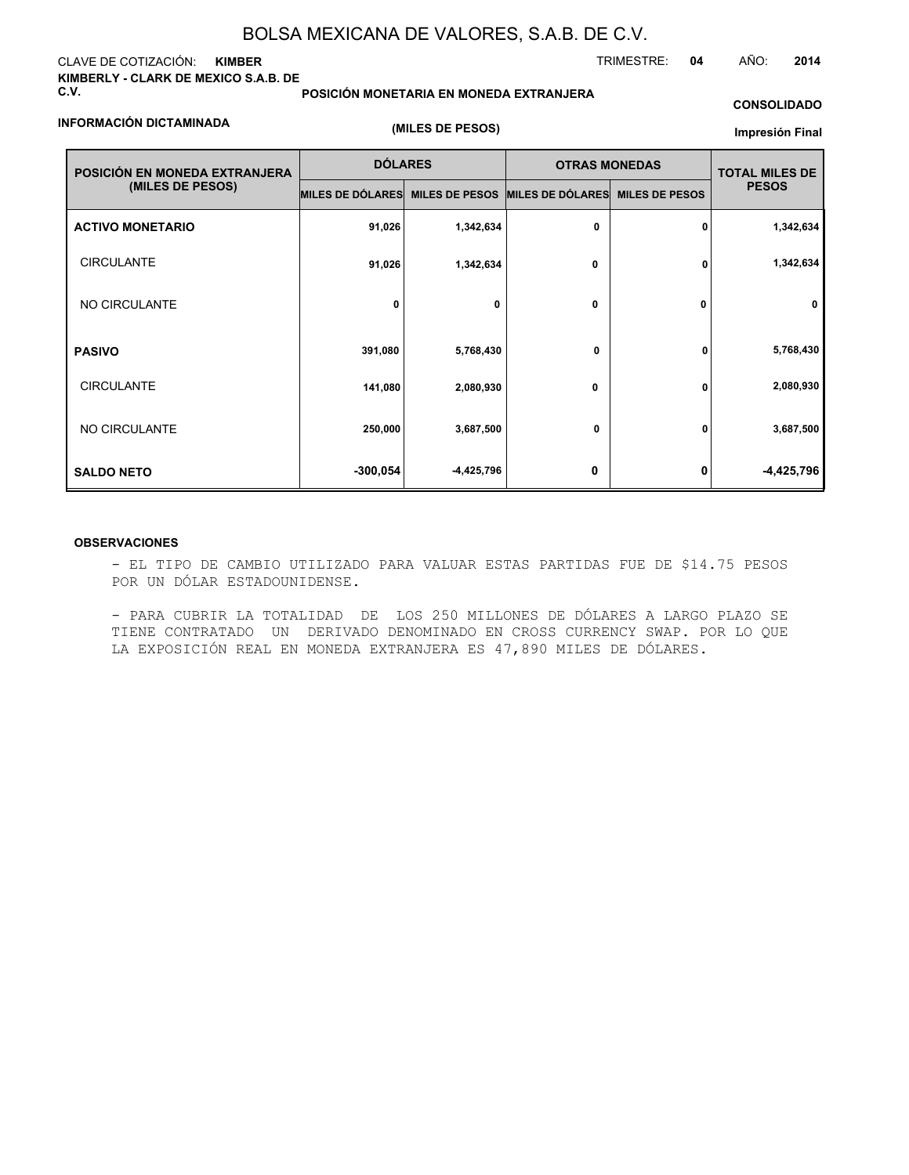#### CLAVE DE COTIZACIÓN: **KIMBER KIMBERLY - CLARK DE MEXICO S.A.B. DE C.V.**

**POSICIÓN MONETARIA EN MONEDA EXTRANJERA**

TRIMESTRE: **04** AÑO: **2014**

### **CONSOLIDADO**

#### **INFORMACIÓN DICTAMINADA**

**(MILES DE PESOS)**

#### **Impresión Final**

| POSICIÓN EN MONEDA EXTRANJERA | <b>DÓLARES</b>   |                       | <b>OTRAS MONEDAS</b> |                       | <b>TOTAL MILES DE</b> |
|-------------------------------|------------------|-----------------------|----------------------|-----------------------|-----------------------|
| (MILES DE PESOS)              | MILES DE DÓLARES | <b>MILES DE PESOS</b> | MILES DE DÓLARES     | <b>MILES DE PESOS</b> | <b>PESOS</b>          |
| <b>ACTIVO MONETARIO</b>       | 91,026           | 1,342,634             | 0                    | 0                     | 1,342,634             |
| <b>CIRCULANTE</b>             | 91,026           | 1,342,634             | 0                    | 0                     | 1,342,634             |
| NO CIRCULANTE                 | 0                | 0                     | 0                    | 0                     | $\mathbf 0$           |
| <b>PASIVO</b>                 | 391,080          | 5,768,430             | 0                    | 0                     | 5,768,430             |
| <b>CIRCULANTE</b>             | 141,080          | 2,080,930             | 0                    | 0                     | 2,080,930             |
| NO CIRCULANTE                 | 250,000          | 3,687,500             | 0                    | 0                     | 3,687,500             |
| <b>SALDO NETO</b>             | $-300,054$       | -4,425,796            | 0                    | 0                     | -4,425,796            |

#### **OBSERVACIONES**

- EL TIPO DE CAMBIO UTILIZADO PARA VALUAR ESTAS PARTIDAS FUE DE \$14.75 PESOS POR UN DÓLAR ESTADOUNIDENSE.

- PARA CUBRIR LA TOTALIDAD DE LOS 250 MILLONES DE DÓLARES A LARGO PLAZO SE TIENE CONTRATADO UN DERIVADO DENOMINADO EN CROSS CURRENCY SWAP. POR LO QUE LA EXPOSICIÓN REAL EN MONEDA EXTRANJERA ES 47,890 MILES DE DÓLARES.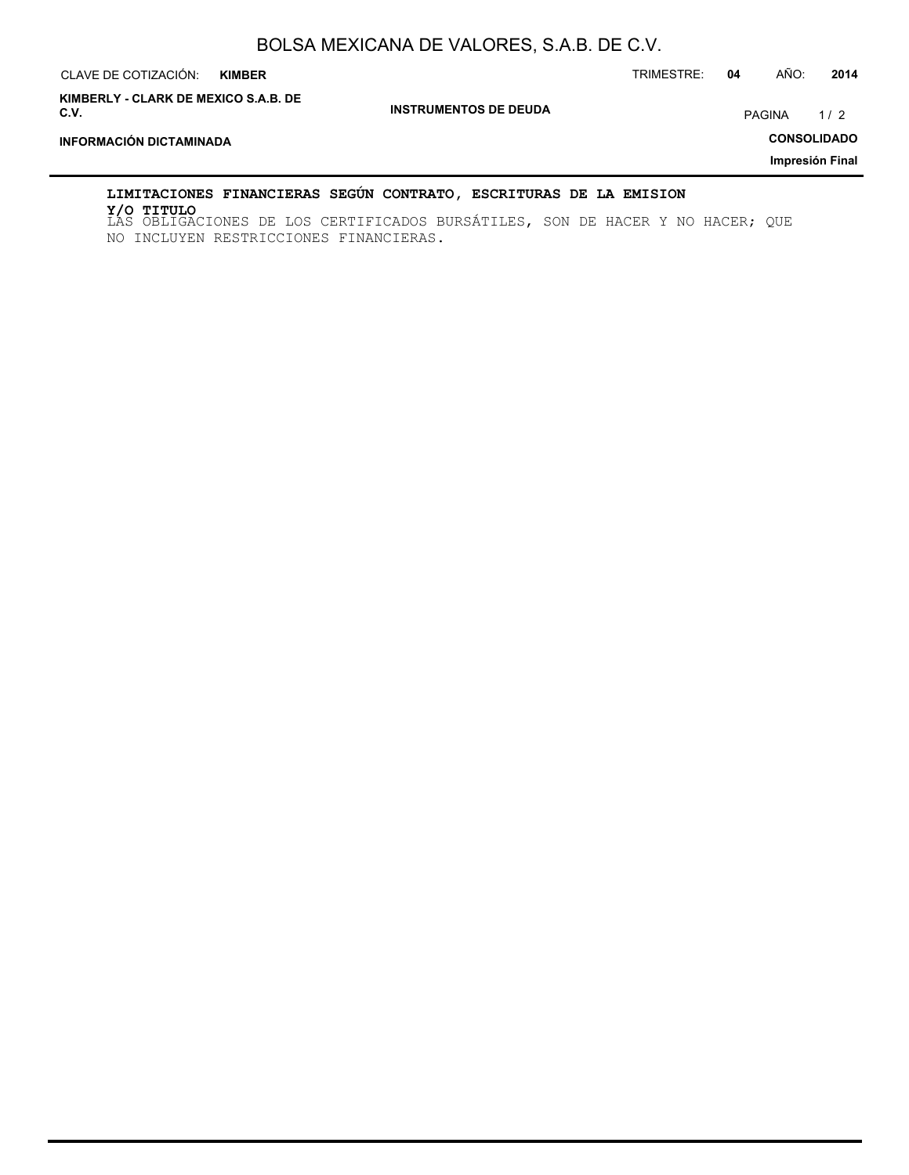| CLAVE DE COTIZACIÓN:<br><b>KIMBER</b>        |                              | TRIMESTRE: | 04 | AÑO:          | 2014               |
|----------------------------------------------|------------------------------|------------|----|---------------|--------------------|
| KIMBERLY - CLARK DE MEXICO S.A.B. DE<br>C.V. | <b>INSTRUMENTOS DE DEUDA</b> |            |    | <b>PAGINA</b> | 1/2                |
| <b>INFORMACIÓN DICTAMINADA</b>               |                              |            |    |               | <b>CONSOLIDADO</b> |
|                                              |                              |            |    |               | Impresión Final    |
|                                              |                              |            |    |               |                    |

### **LIMITACIONES FINANCIERAS SEGÚN CONTRATO, ESCRITURAS DE LA EMISION**

LAS OBLIGACIONES DE LOS CERTIFICADOS BURSÁTILES, SON DE HACER Y NO HACER; QUE **Y/O TITULO**NO INCLUYEN RESTRICCIONES FINANCIERAS.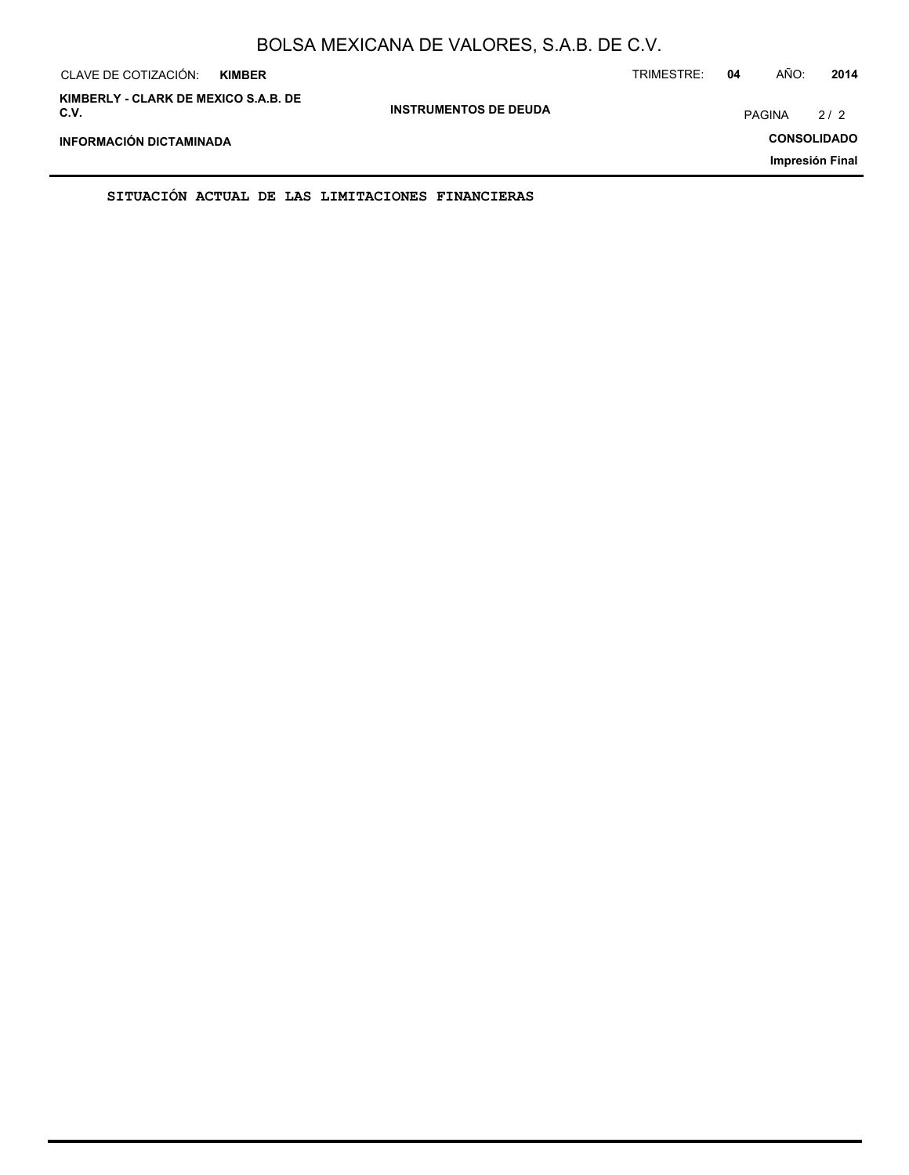| CLAVE DE COTIZACIÓN:<br><b>KIMBER</b>        |                              | TRIMESTRE: | 04 | AÑO:          | 2014               |
|----------------------------------------------|------------------------------|------------|----|---------------|--------------------|
| KIMBERLY - CLARK DE MEXICO S.A.B. DE<br>C.V. | <b>INSTRUMENTOS DE DEUDA</b> |            |    | <b>PAGINA</b> | 2/2                |
| INFORMACIÓN DICTAMINADA                      |                              |            |    |               | <b>CONSOLIDADO</b> |
|                                              |                              |            |    |               | Impresión Final    |

**SITUACIÓN ACTUAL DE LAS LIMITACIONES FINANCIERAS**

ř.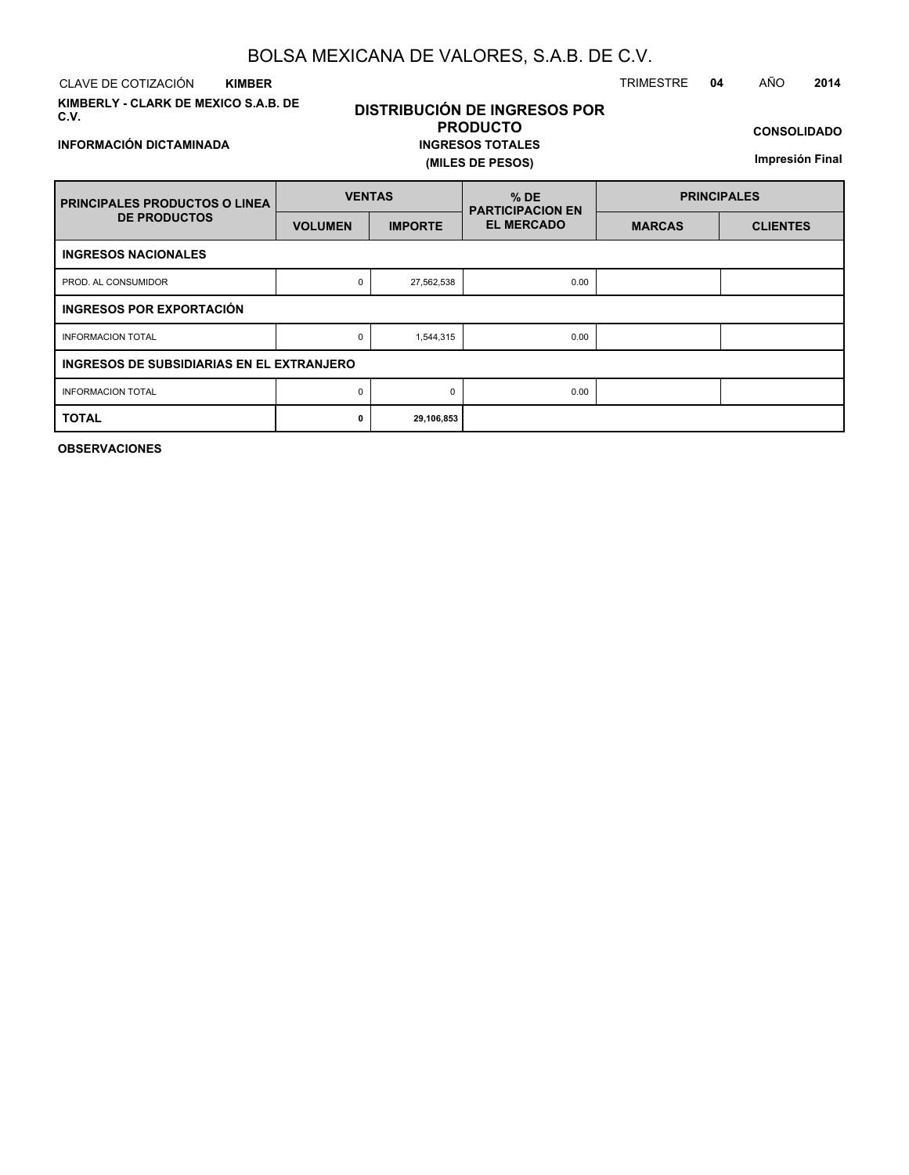CLAVE DE COTIZACIÓN TRIMESTRE **04** AÑO **2014 KIMBER**

**INFORMACIÓN DICTAMINADA**

**KIMBERLY - CLARK DE MEXICO S.A.B. DE C.V.**

## **DISTRIBUCIÓN DE INGRESOS POR PRODUCTO INGRESOS TOTALES (MILES DE PESOS)**

**CONSOLIDADO**

**Impresión Final**

| <b>FRINCIPALES PRODUCTOS O LINEA</b>             | <b>VENTAS</b>  |                | $%$ DE<br><b>PARTICIPACION EN</b> | <b>PRINCIPALES</b> |                 |  |  |  |
|--------------------------------------------------|----------------|----------------|-----------------------------------|--------------------|-----------------|--|--|--|
| <b>DE PRODUCTOS</b>                              | <b>VOLUMEN</b> | <b>IMPORTE</b> | <b>EL MERCADO</b>                 | <b>MARCAS</b>      | <b>CLIENTES</b> |  |  |  |
| <b>INGRESOS NACIONALES</b>                       |                |                |                                   |                    |                 |  |  |  |
| PROD. AL CONSUMIDOR                              | 27,562,538     | 0.00           |                                   |                    |                 |  |  |  |
| INGRESOS POR EXPORTACIÓN                         |                |                |                                   |                    |                 |  |  |  |
| <b>INFORMACION TOTAL</b>                         | 0              | 1,544,315      | 0.00                              |                    |                 |  |  |  |
| <b>INGRESOS DE SUBSIDIARIAS EN EL EXTRANJERO</b> |                |                |                                   |                    |                 |  |  |  |
| <b>INFORMACION TOTAL</b>                         | 0              | $\Omega$       | 0.00                              |                    |                 |  |  |  |
| <b>TOTAL</b>                                     | 0              | 29,106,853     |                                   |                    |                 |  |  |  |

**OBSERVACIONES**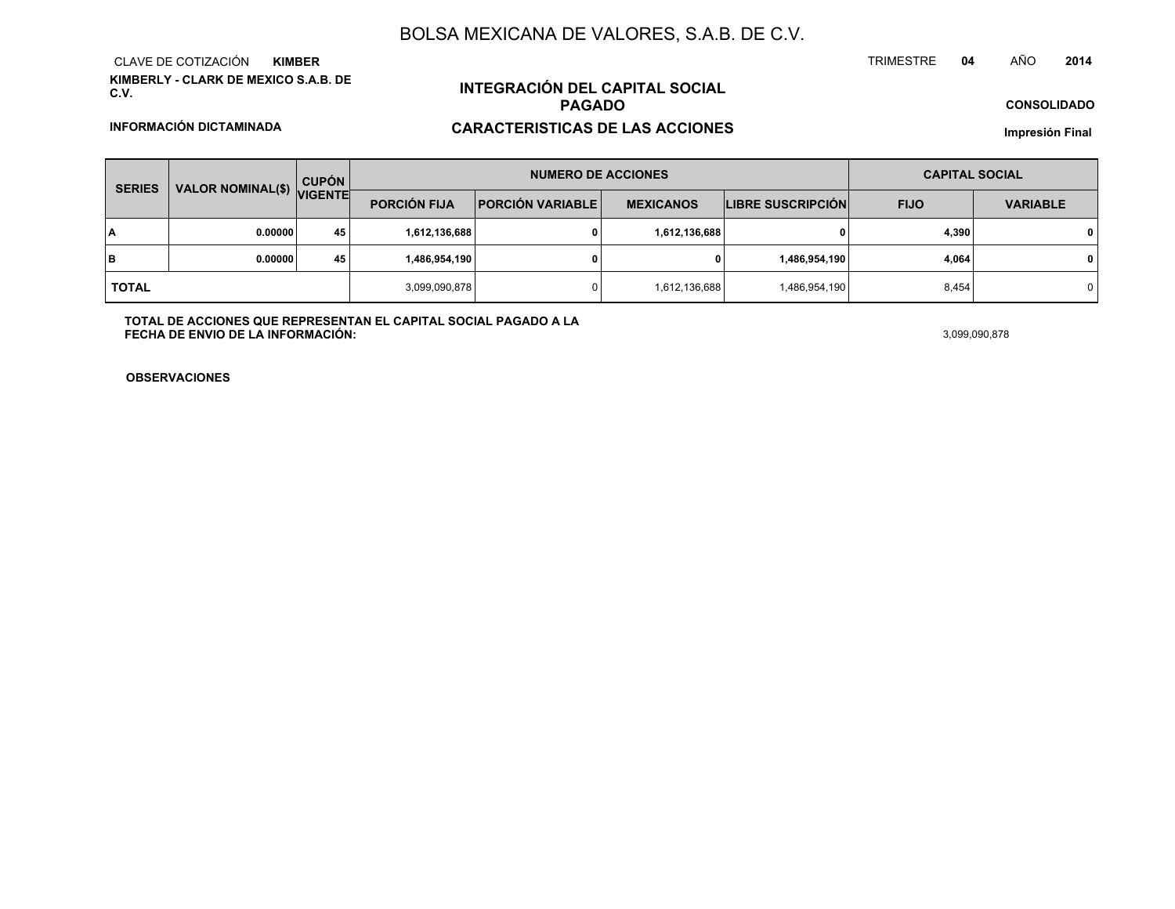**KIMBERLY - CLARK DE MEXICO S.A.B. DE C.V.**CLAVE DE COTIZACIÓN**KIMBER**

**INFORMACIÓN DICTAMINADA**

# **INTEGRACIÓN DEL CAPITAL SOCIALPAGADO**

## **CARACTERISTICAS DE LAS ACCIONES**

**CONSOLIDADO**

**Impresión Final**

| <b>SERIES</b> |                           | <b>CUPÓN</b> |                     | <b>NUMERO DE ACCIONES</b> |                  |                          | <b>CAPITAL SOCIAL</b> |                 |  |
|---------------|---------------------------|--------------|---------------------|---------------------------|------------------|--------------------------|-----------------------|-----------------|--|
|               | VALOR NOMINAL(\$) VIGENTE |              | <b>PORCIÓN FIJA</b> | <b>PORCIÓN VARIABLE</b>   | <b>MEXICANOS</b> | <b>LIBRE SUSCRIPCIÓN</b> | <b>FIJO</b>           | <b>VARIABLE</b> |  |
| I٨            | 0.00000                   | 45           | 1,612,136,688       |                           | 1,612,136,688    | 0                        | 4,390                 | $\mathbf 0$     |  |
| lв            | 0.00000                   | 45           | 1,486,954,190       |                           | 0                | 1,486,954,190            | 4,064                 | $\mathbf{0}$    |  |
| <b>TOTAL</b>  |                           |              | 3,099,090,878       |                           | 1,612,136,688    | 1,486,954,190            | 8,454                 | 0 I             |  |

**TOTAL DE ACCIONES QUE REPRESENTAN EL CAPITAL SOCIAL PAGADO A LAFECHA DE ENVIO DE LA INFORMACIÓN:** $3,099,090,878$ 

TRIMESTRE

**OBSERVACIONES**

#### **<sup>04</sup>** AÑO**<sup>2014</sup>**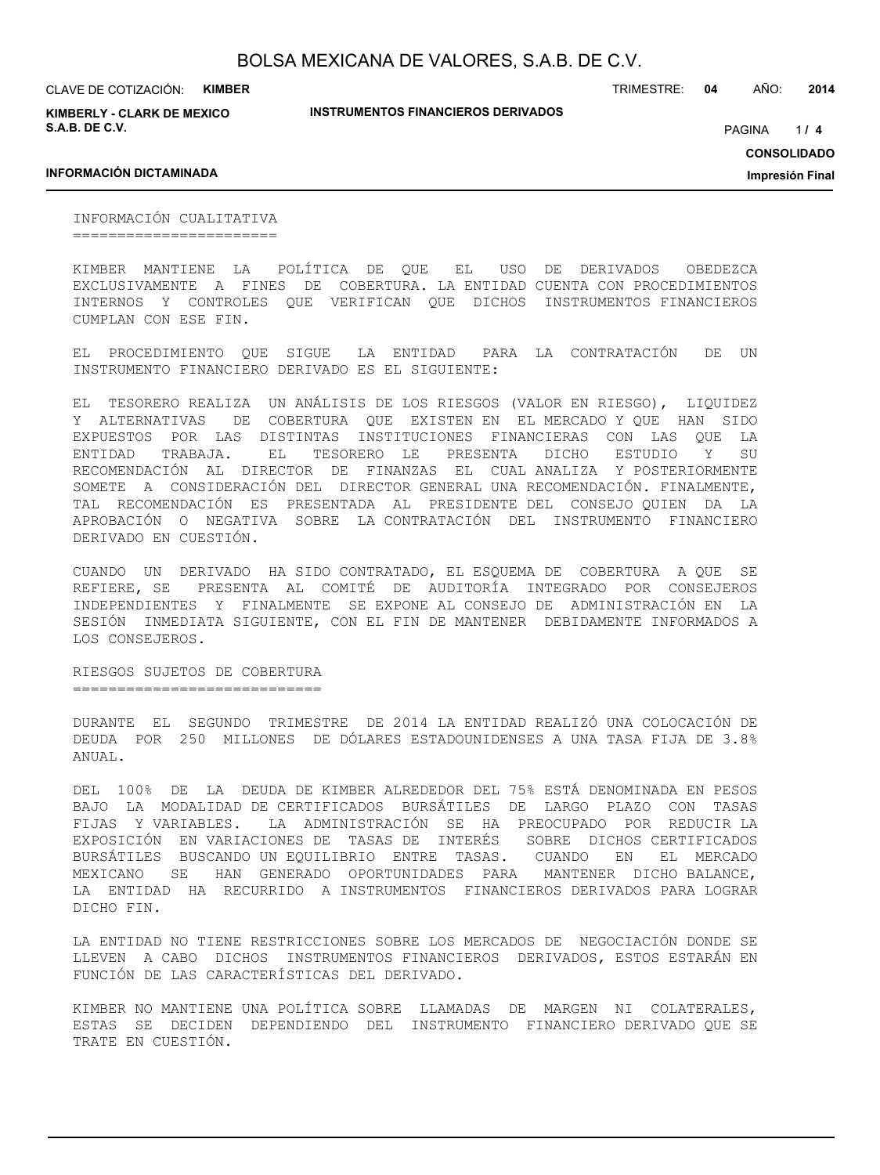**KIMBERLY - CLARK DE MEXICO S.A.B. DE C.V.**

TRIMESTRE: **04** AÑO: **2014**

 $114$ PAGINA **/ 4**

#### **INFORMACIÓN DICTAMINADA**

**INSTRUMENTOS FINANCIEROS DERIVADOS**

**CONSOLIDADO**

**Impresión Final**

INFORMACIÓN CUALITATIVA =======================

KIMBER MANTIENE LA POLÍTICA DE QUE EL USO DE DERIVADOS OBEDEZCA EXCLUSIVAMENTE A FINES DE COBERTURA. LA ENTIDAD CUENTA CON PROCEDIMIENTOS INTERNOS Y CONTROLES QUE VERIFICAN QUE DICHOS INSTRUMENTOS FINANCIEROS CUMPLAN CON ESE FIN.

EL PROCEDIMIENTO QUE SIGUE LA ENTIDAD PARA LA CONTRATACIÓN DE UN INSTRUMENTO FINANCIERO DERIVADO ES EL SIGUIENTE:

EL TESORERO REALIZA UN ANÁLISIS DE LOS RIESGOS (VALOR EN RIESGO), LIQUIDEZ Y ALTERNATIVAS DE COBERTURA QUE EXISTEN EN EL MERCADO Y QUE HAN SIDO EXPUESTOS POR LAS DISTINTAS INSTITUCIONES FINANCIERAS CON LAS QUE LA ENTIDAD TRABAJA. EL TESORERO LE PRESENTA DICHO ESTUDIO Y SU RECOMENDACIÓN AL DIRECTOR DE FINANZAS EL CUAL ANALIZA Y POSTERIORMENTE SOMETE A CONSIDERACIÓN DEL DIRECTOR GENERAL UNA RECOMENDACIÓN. FINALMENTE, TAL RECOMENDACIÓN ES PRESENTADA AL PRESIDENTE DEL CONSEJO QUIEN DA LA APROBACIÓN O NEGATIVA SOBRE LA CONTRATACIÓN DEL INSTRUMENTO FINANCIERO DERIVADO EN CUESTIÓN.

CUANDO UN DERIVADO HA SIDO CONTRATADO, EL ESQUEMA DE COBERTURA A QUE SE REFIERE, SE PRESENTA AL COMITÉ DE AUDITORÍA INTEGRADO POR CONSEJEROS INDEPENDIENTES Y FINALMENTE SE EXPONE AL CONSEJO DE ADMINISTRACIÓN EN LA SESIÓN INMEDIATA SIGUIENTE, CON EL FIN DE MANTENER DEBIDAMENTE INFORMADOS A LOS CONSEJEROS.

RIESGOS SUJETOS DE COBERTURA ============================

DURANTE EL SEGUNDO TRIMESTRE DE 2014 LA ENTIDAD REALIZÓ UNA COLOCACIÓN DE DEUDA POR 250 MILLONES DE DÓLARES ESTADOUNIDENSES A UNA TASA FIJA DE 3.8% ANUAL.

DEL 100% DE LA DEUDA DE KIMBER ALREDEDOR DEL 75% ESTÁ DENOMINADA EN PESOS BAJO LA MODALIDAD DE CERTIFICADOS BURSÁTILES DE LARGO PLAZO CON TASAS FIJAS Y VARIABLES. LA ADMINISTRACIÓN SE HA PREOCUPADO POR REDUCIR LA EXPOSICIÓN EN VARIACIONES DE TASAS DE INTERÉS SOBRE DICHOS CERTIFICADOS BURSÁTILES BUSCANDO UN EQUILIBRIO ENTRE TASAS. CUANDO EN EL MERCADO MEXICANO SE HAN GENERADO OPORTUNIDADES PARA MANTENER DICHO BALANCE, LA ENTIDAD HA RECURRIDO A INSTRUMENTOS FINANCIEROS DERIVADOS PARA LOGRAR DICHO FIN.

LA ENTIDAD NO TIENE RESTRICCIONES SOBRE LOS MERCADOS DE NEGOCIACIÓN DONDE SE LLEVEN A CABO DICHOS INSTRUMENTOS FINANCIEROS DERIVADOS, ESTOS ESTARÁN EN FUNCIÓN DE LAS CARACTERÍSTICAS DEL DERIVADO.

KIMBER NO MANTIENE UNA POLÍTICA SOBRE LLAMADAS DE MARGEN NI COLATERALES, ESTAS SE DECIDEN DEPENDIENDO DEL INSTRUMENTO FINANCIERO DERIVADO QUE SE TRATE EN CUESTIÓN.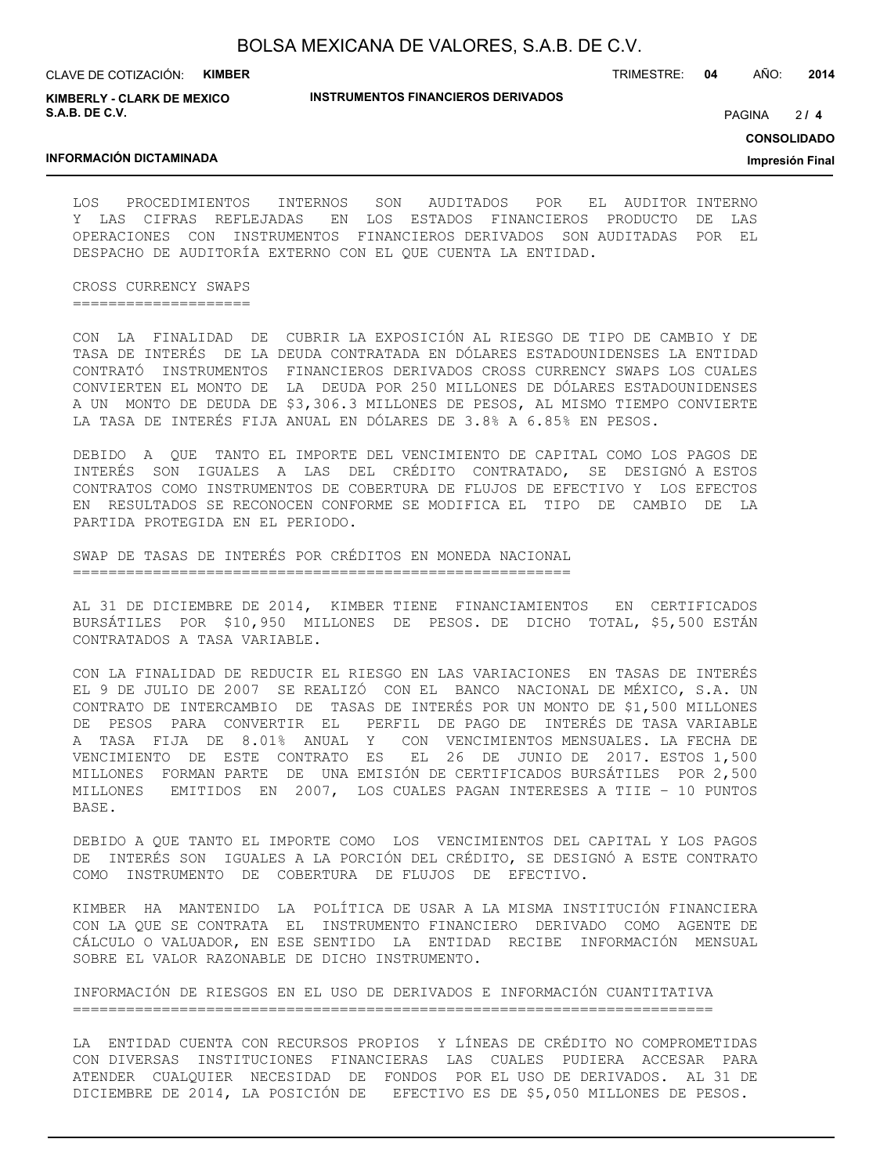**KIMBERLY - CLARK DE MEXICO S.A.B. DE C.V.**

#### **INSTRUMENTOS FINANCIEROS DERIVADOS**

TRIMESTRE: **04** AÑO: **2014**

 $214$ PAGINA **/ 4**

**CONSOLIDADO**

**Impresión Final**

#### **INFORMACIÓN DICTAMINADA**

LOS PROCEDIMIENTOS INTERNOS SON AUDITADOS POR EL AUDITOR INTERNO Y LAS CIFRAS REFLEJADAS EN LOS ESTADOS FINANCIEROS PRODUCTO DE LAS OPERACIONES CON INSTRUMENTOS FINANCIEROS DERIVADOS SON AUDITADAS POR EL DESPACHO DE AUDITORÍA EXTERNO CON EL QUE CUENTA LA ENTIDAD.

CROSS CURRENCY SWAPS ====================

CON LA FINALIDAD DE CUBRIR LA EXPOSICIÓN AL RIESGO DE TIPO DE CAMBIO Y DE TASA DE INTERÉS DE LA DEUDA CONTRATADA EN DÓLARES ESTADOUNIDENSES LA ENTIDAD CONTRATÓ INSTRUMENTOS FINANCIEROS DERIVADOS CROSS CURRENCY SWAPS LOS CUALES CONVIERTEN EL MONTO DE LA DEUDA POR 250 MILLONES DE DÓLARES ESTADOUNIDENSES A UN MONTO DE DEUDA DE \$3,306.3 MILLONES DE PESOS, AL MISMO TIEMPO CONVIERTE LA TASA DE INTERÉS FIJA ANUAL EN DÓLARES DE 3.8% A 6.85% EN PESOS.

DEBIDO A QUE TANTO EL IMPORTE DEL VENCIMIENTO DE CAPITAL COMO LOS PAGOS DE INTERÉS SON IGUALES A LAS DEL CRÉDITO CONTRATADO, SE DESIGNÓ A ESTOS CONTRATOS COMO INSTRUMENTOS DE COBERTURA DE FLUJOS DE EFECTIVO Y LOS EFECTOS EN RESULTADOS SE RECONOCEN CONFORME SE MODIFICA EL TIPO DE CAMBIO DE LA PARTIDA PROTEGIDA EN EL PERIODO.

SWAP DE TASAS DE INTERÉS POR CRÉDITOS EN MONEDA NACIONAL ========================================================

AL 31 DE DICIEMBRE DE 2014, KIMBER TIENE FINANCIAMIENTOS EN CERTIFICADOS BURSÁTILES POR \$10,950 MILLONES DE PESOS. DE DICHO TOTAL, \$5,500 ESTÁN CONTRATADOS A TASA VARIABLE.

CON LA FINALIDAD DE REDUCIR EL RIESGO EN LAS VARIACIONES EN TASAS DE INTERÉS EL 9 DE JULIO DE 2007 SE REALIZÓ CON EL BANCO NACIONAL DE MÉXICO, S.A. UN CONTRATO DE INTERCAMBIO DE TASAS DE INTERÉS POR UN MONTO DE \$1,500 MILLONES DE PESOS PARA CONVERTIR EL PERFIL DE PAGO DE INTERÉS DE TASA VARIABLE A TASA FIJA DE 8.01% ANUAL Y CON VENCIMIENTOS MENSUALES. LA FECHA DE VENCIMIENTO DE ESTE CONTRATO ES EL 26 DE JUNIO DE 2017. ESTOS 1,500 MILLONES FORMAN PARTE DE UNA EMISIÓN DE CERTIFICADOS BURSÁTILES POR 2,500 MILLONES EMITIDOS EN 2007, LOS CUALES PAGAN INTERESES A TIIE – 10 PUNTOS BASE.

DEBIDO A QUE TANTO EL IMPORTE COMO LOS VENCIMIENTOS DEL CAPITAL Y LOS PAGOS DE INTERÉS SON IGUALES A LA PORCIÓN DEL CRÉDITO, SE DESIGNÓ A ESTE CONTRATO COMO INSTRUMENTO DE COBERTURA DE FLUJOS DE EFECTIVO.

KIMBER HA MANTENIDO LA POLÍTICA DE USAR A LA MISMA INSTITUCIÓN FINANCIERA CON LA QUE SE CONTRATA EL INSTRUMENTO FINANCIERO DERIVADO COMO AGENTE DE CÁLCULO O VALUADOR, EN ESE SENTIDO LA ENTIDAD RECIBE INFORMACIÓN MENSUAL SOBRE EL VALOR RAZONABLE DE DICHO INSTRUMENTO.

INFORMACIÓN DE RIESGOS EN EL USO DE DERIVADOS E INFORMACIÓN CUANTITATIVA ========================================================================

LA ENTIDAD CUENTA CON RECURSOS PROPIOS Y LÍNEAS DE CRÉDITO NO COMPROMETIDAS CON DIVERSAS INSTITUCIONES FINANCIERAS LAS CUALES PUDIERA ACCESAR PARA ATENDER CUALQUIER NECESIDAD DE FONDOS POR EL USO DE DERIVADOS. AL 31 DE DICIEMBRE DE 2014, LA POSICIÓN DE EFECTIVO ES DE \$5,050 MILLONES DE PESOS.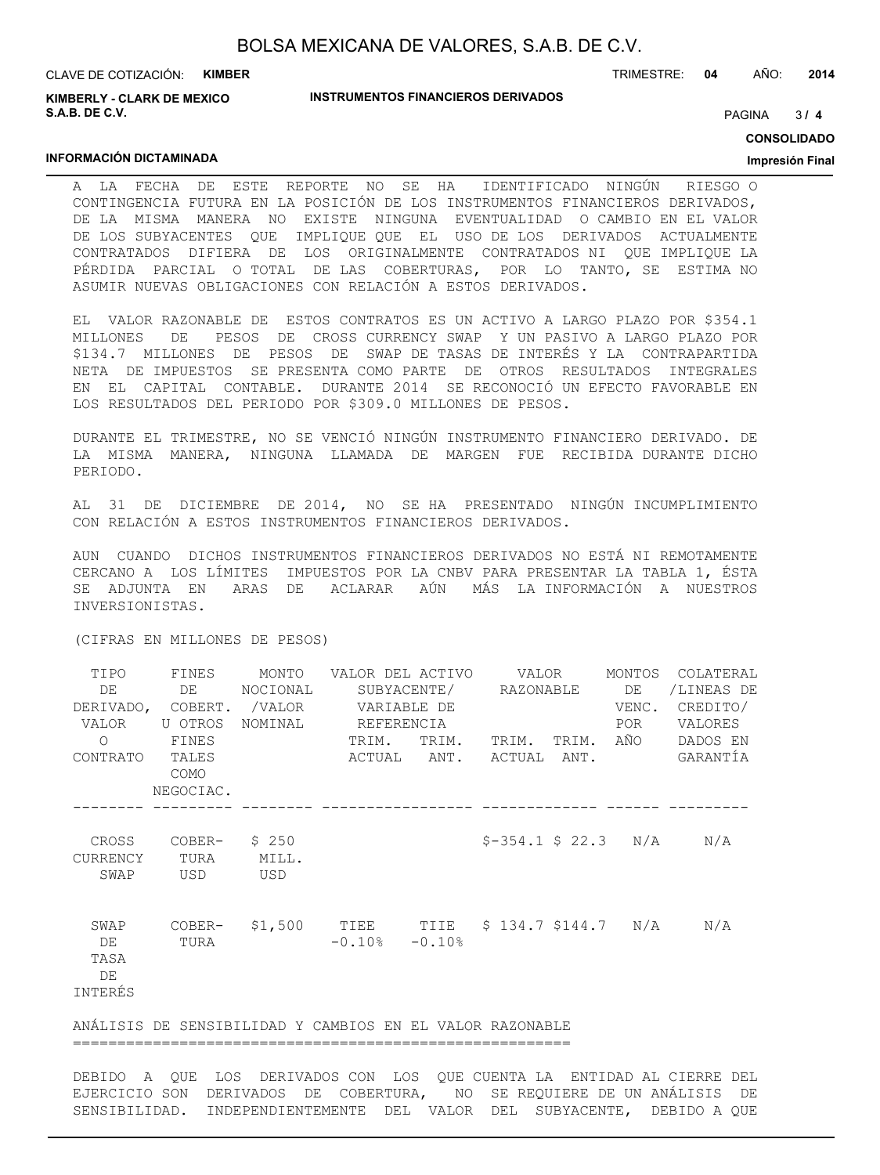**KIMBERLY - CLARK DE MEXICO S.A.B. DE C.V.**

**INFORMACIÓN DICTAMINADA**

#### **INSTRUMENTOS FINANCIEROS DERIVADOS**

TRIMESTRE: **04** AÑO: **2014**

 $3/4$ PAGINA **/ 4**

**CONSOLIDADO**

#### **Impresión Final**

A LA FECHA DE ESTE REPORTE NO SE HA IDENTIFICADO NINGÚN RIESGO O CONTINGENCIA FUTURA EN LA POSICIÓN DE LOS INSTRUMENTOS FINANCIEROS DERIVADOS, DE LA MISMA MANERA NO EXISTE NINGUNA EVENTUALIDAD O CAMBIO EN EL VALOR DE LOS SUBYACENTES QUE IMPLIQUE QUE EL USO DE LOS DERIVADOS ACTUALMENTE CONTRATADOS DIFIERA DE LOS ORIGINALMENTE CONTRATADOS NI QUE IMPLIQUE LA PÉRDIDA PARCIAL O TOTAL DE LAS COBERTURAS, POR LO TANTO, SE ESTIMA NO ASUMIR NUEVAS OBLIGACIONES CON RELACIÓN A ESTOS DERIVADOS.

EL VALOR RAZONABLE DE ESTOS CONTRATOS ES UN ACTIVO A LARGO PLAZO POR \$354.1 MILLONES DE PESOS DE CROSS CURRENCY SWAP Y UN PASIVO A LARGO PLAZO POR \$134.7 MILLONES DE PESOS DE SWAP DE TASAS DE INTERÉS Y LA CONTRAPARTIDA NETA DE IMPUESTOS SE PRESENTA COMO PARTE DE OTROS RESULTADOS INTEGRALES EN EL CAPITAL CONTABLE. DURANTE 2014 SE RECONOCIÓ UN EFECTO FAVORABLE EN LOS RESULTADOS DEL PERIODO POR \$309.0 MILLONES DE PESOS.

DURANTE EL TRIMESTRE, NO SE VENCIÓ NINGÚN INSTRUMENTO FINANCIERO DERIVADO. DE LA MISMA MANERA, NINGUNA LLAMADA DE MARGEN FUE RECIBIDA DURANTE DICHO PERIODO.

AL 31 DE DICIEMBRE DE 2014, NO SE HA PRESENTADO NINGÚN INCUMPLIMIENTO CON RELACIÓN A ESTOS INSTRUMENTOS FINANCIEROS DERIVADOS.

AUN CUANDO DICHOS INSTRUMENTOS FINANCIEROS DERIVADOS NO ESTÁ NI REMOTAMENTE CERCANO A LOS LÍMITES IMPUESTOS POR LA CNBV PARA PRESENTAR LA TABLA 1, ÉSTA SE ADJUNTA EN ARAS DE ACLARAR AÚN MÁS LA INFORMACIÓN A NUESTROS INVERSIONISTAS.

(CIFRAS EN MILLONES DE PESOS)

| TIPO<br>DE<br>VALOR                 | FINES<br>DE<br>DERIVADO, COBERT.<br>U OTROS | MONTO<br>NOCIONAL<br>/VALOR<br>NOMINAL | VALOR DEL ACTIVO<br>VARIABLE DE<br>REFERENCIA                   |       | VALOR<br>SUBYACENTE/ RAZONABLE   | MONTOS<br>DE<br>VENC.<br>POR | COLATERAL<br>/LINEAS DE<br>CREDITO/<br><b>VALORES</b> |
|-------------------------------------|---------------------------------------------|----------------------------------------|-----------------------------------------------------------------|-------|----------------------------------|------------------------------|-------------------------------------------------------|
| $\Omega$<br>CONTRATO                | FINES<br>TALES<br>COMO<br>NEGOCIAC.         |                                        | TRIM.                                                           | TRIM. | TRIM.<br>ACTUAL ANT. ACTUAL ANT. | TRIM. AÑO                    | DADOS EN<br>GARANTÍA                                  |
| CROSS<br><b>CURRENCY</b><br>SWAP    | COBER-<br>TURA<br>USD                       | \$250<br>MILL.<br>USD                  |                                                                 |       | $$-354.1 \$ 22.3 \t N/A$         |                              | N/A                                                   |
| SWAP<br>DE<br>TASA<br>DE<br>INTERÉS | COBER-<br>TURA                              |                                        | $$1,500$ TIEE TIIE $$134.7$ $$144.7$ N/A<br>$-0.10$ % $-0.10$ % |       |                                  |                              | N/A                                                   |
|                                     |                                             |                                        | ANÁLISIS DE SENSIBILIDAD Y CAMBIOS EN EL VALOR RAZONABLE        |       |                                  |                              |                                                       |

========================================================

DEBIDO A QUE LOS DERIVADOS CON LOS QUE CUENTA LA ENTIDAD AL CIERRE DEL EJERCICIO SON DERIVADOS DE COBERTURA, NO SE REQUIERE DE UN ANÁLISIS DE SENSIBILIDAD. INDEPENDIENTEMENTE DEL VALOR DEL SUBYACENTE, DEBIDO A QUE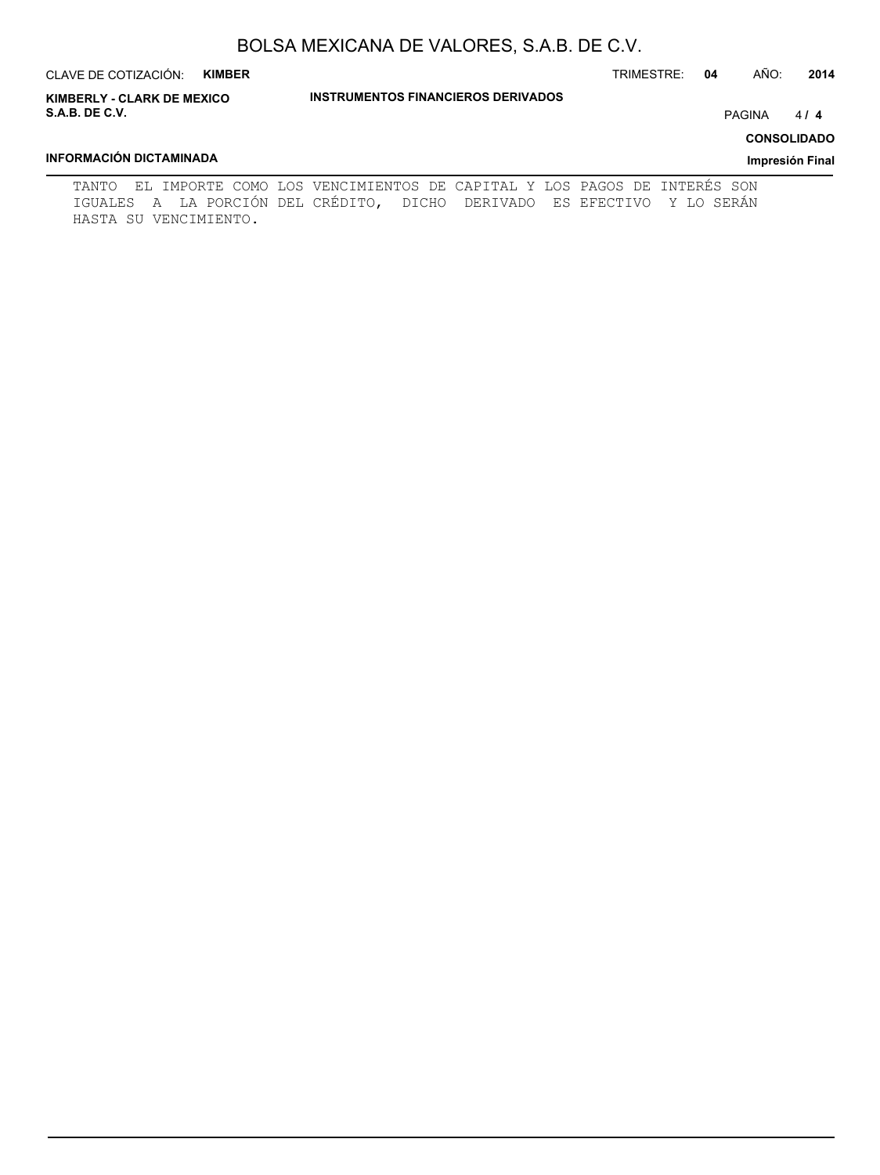| CLAVE DE COTIZACIÓN:<br><b>KIMBER</b>                      |                                                                         | AÑO:<br>TRIMESTRE:<br>2014<br>04 |
|------------------------------------------------------------|-------------------------------------------------------------------------|----------------------------------|
| <b>KIMBERLY - CLARK DE MEXICO</b><br><b>S.A.B. DE C.V.</b> | <b>INSTRUMENTOS FINANCIEROS DERIVADOS</b>                               | <b>PAGINA</b><br>414             |
|                                                            |                                                                         | <b>CONSOLIDADO</b>               |
| INFORMACIÓN DICTAMINADA                                    |                                                                         | Impresión Final                  |
| TANTO                                                      | EL IMPORTE COMO LOS VENCIMIENTOS DE CAPITAL Y LOS PAGOS DE INTERÉS SON  |                                  |
| HASTA SU VENCIMIENTO.                                      | IGUALES A LA PORCIÓN DEL CRÉDITO, DICHO DERIVADO ES EFECTIVO Y LO SERÁN |                                  |